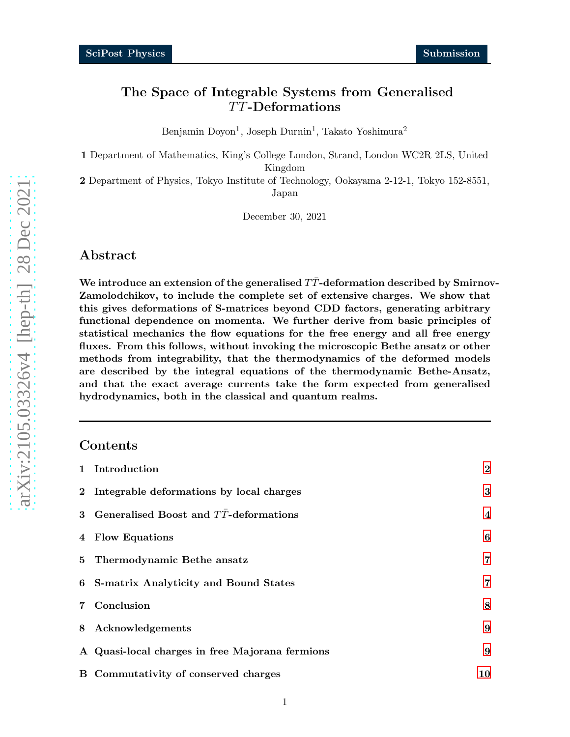# The Space of Integrable Systems from Generalised  $T\bar{T}$ -Deformations

Benjamin Doyon<sup>1</sup>, Joseph Durnin<sup>1</sup>, Takato Yoshimura<sup>2</sup>

1 Department of Mathematics, King's College London, Strand, London WC2R 2LS, United Kingdom

2 Department of Physics, Tokyo Institute of Technology, Ookayama 2-12-1, Tokyo 152-8551, Japan

December 30, 2021

## Abstract

We introduce an extension of the generalised  $T\bar{T}$ -deformation described by Smirnov-Zamolodchikov, to include the complete set of extensive charges. We show that this gives deformations of S-matrices beyond CDD factors, generating arbitrary functional dependence on momenta. We further derive from basic principles of statistical mechanics the flow equations for the free energy and all free energy fluxes. From this follows, without invoking the microscopic Bethe ansatz or other methods from integrability, that the thermodynamics of the deformed models are described by the integral equations of the thermodynamic Bethe-Ansatz, and that the exact average currents take the form expected from generalised hydrodynamics, both in the classical and quantum realms.

# Contents

| 1 Introduction                                   | $\bf{2}$                |
|--------------------------------------------------|-------------------------|
| 2 Integrable deformations by local charges       | 3                       |
| 3 Generalised Boost and $T\bar{T}$ -deformations | $\overline{\mathbf{4}}$ |
| 4 Flow Equations                                 | 6                       |
| 5 Thermodynamic Bethe ansatz                     | 7                       |
| 6 S-matrix Analyticity and Bound States          | 7                       |
| 7 Conclusion                                     | 8                       |
| 8 Acknowledgements                               | 9                       |
| A Quasi-local charges in free Majorana fermions  | 9                       |
| B Commutativity of conserved charges             | 10                      |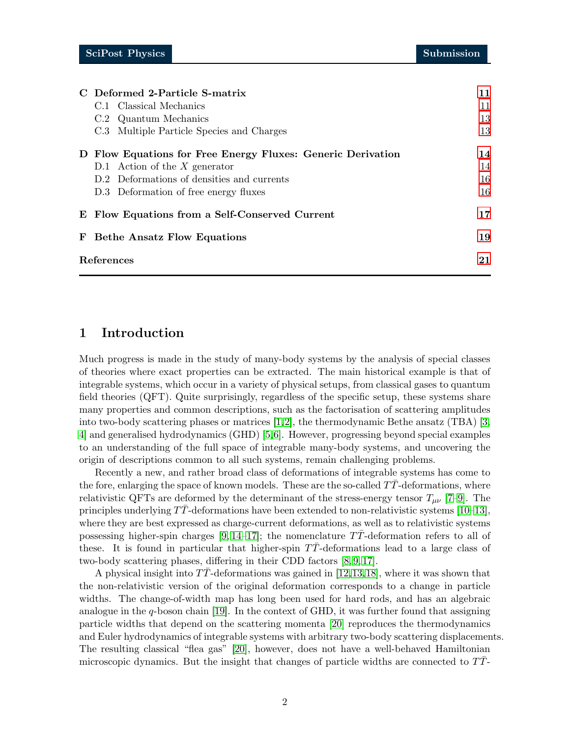|            | C Deformed 2-Particle S-matrix                              | 11 |
|------------|-------------------------------------------------------------|----|
|            | C.1 Classical Mechanics                                     | 11 |
|            | C.2 Quantum Mechanics                                       | 13 |
|            | C.3 Multiple Particle Species and Charges                   | 13 |
|            | D Flow Equations for Free Energy Fluxes: Generic Derivation | 14 |
|            | D.1 Action of the $X$ generator                             | 14 |
|            | D.2 Deformations of densities and currents                  | 16 |
|            | D.3 Deformation of free energy fluxes                       | 16 |
|            | E Flow Equations from a Self-Conserved Current              | 17 |
|            | <b>F</b> Bethe Ansatz Flow Equations                        | 19 |
| References |                                                             | 21 |

# <span id="page-1-0"></span>1 Introduction

Much progress is made in the study of many-body systems by the analysis of special classes of theories where exact properties can be extracted. The main historical example is that of integrable systems, which occur in a variety of physical setups, from classical gases to quantum field theories (QFT). Quite surprisingly, regardless of the specific setup, these systems share many properties and common descriptions, such as the factorisation of scattering amplitudes into two-body scattering phases or matrices  $[1,2]$ , the thermodynamic Bethe ansatz (TBA)  $[3,$ [4\]](#page-20-3) and generalised hydrodynamics (GHD) [\[5,](#page-20-4)[6\]](#page-20-5). However, progressing beyond special examples to an understanding of the full space of integrable many-body systems, and uncovering the origin of descriptions common to all such systems, remain challenging problems.

Recently a new, and rather broad class of deformations of integrable systems has come to the fore, enlarging the space of known models. These are the so-called  $T\bar{T}$ -deformations, where relativistic QFTs are deformed by the determinant of the stress-energy tensor  $T_{\mu\nu}$  [\[7](#page-20-6)[–9\]](#page-20-7). The principles underlying  $TT$ -deformations have been extended to non-relativistic systems [\[10](#page-20-8)[–13\]](#page-21-0). where they are best expressed as charge-current deformations, as well as to relativistic systems possessing higher-spin charges  $[9, 14-17]$  $[9, 14-17]$ ; the nomenclature TT-deformation refers to all of these. It is found in particular that higher-spin  $TT$ -deformations lead to a large class of two-body scattering phases, differing in their CDD factors [\[8,](#page-20-9) [9,](#page-20-7) [17\]](#page-21-2).

A physical insight into  $TT$ -deformations was gained in [\[12,](#page-20-10)[13,](#page-21-0)[18\]](#page-21-3), where it was shown that the non-relativistic version of the original deformation corresponds to a change in particle widths. The change-of-width map has long been used for hard rods, and has an algebraic analogue in the q-boson chain [\[19\]](#page-21-4). In the context of GHD, it was further found that assigning particle widths that depend on the scattering momenta [\[20\]](#page-21-5) reproduces the thermodynamics and Euler hydrodynamics of integrable systems with arbitrary two-body scattering displacements. The resulting classical "flea gas" [\[20\]](#page-21-5), however, does not have a well-behaved Hamiltonian microscopic dynamics. But the insight that changes of particle widths are connected to  $T\overline{T}$ -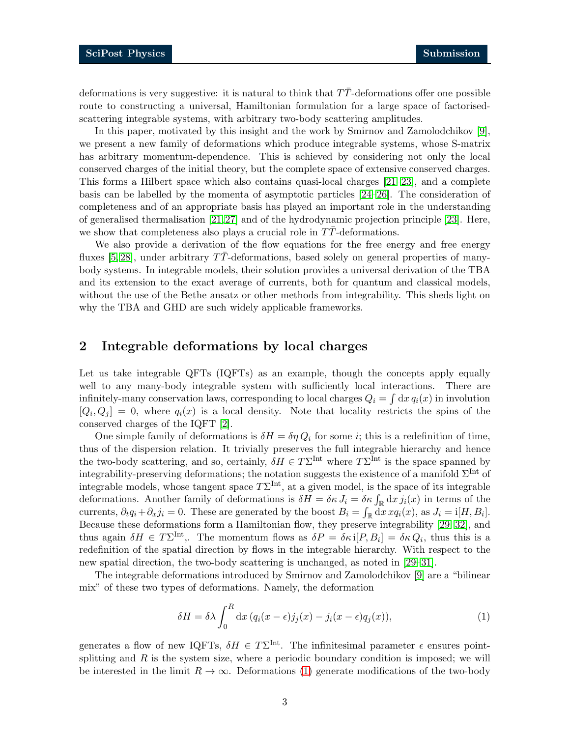deformations is very suggestive: it is natural to think that  $T\bar{T}$ -deformations offer one possible route to constructing a universal, Hamiltonian formulation for a large space of factorisedscattering integrable systems, with arbitrary two-body scattering amplitudes.

In this paper, motivated by this insight and the work by Smirnov and Zamolodchikov [\[9\]](#page-20-7), we present a new family of deformations which produce integrable systems, whose S-matrix has arbitrary momentum-dependence. This is achieved by considering not only the local conserved charges of the initial theory, but the complete space of extensive conserved charges. This forms a Hilbert space which also contains quasi-local charges [\[21–](#page-21-6)[23\]](#page-21-7), and a complete basis can be labelled by the momenta of asymptotic particles [\[24](#page-21-8)[–26\]](#page-21-9). The consideration of completeness and of an appropriate basis has played an important role in the understanding of generalised thermalisation [\[21,](#page-21-6)[27\]](#page-21-10) and of the hydrodynamic projection principle [\[23\]](#page-21-7). Here, we show that completeness also plays a crucial role in  $TT$ -deformations.

We also provide a derivation of the flow equations for the free energy and free energy fluxes [\[5,](#page-20-4) [28\]](#page-21-11), under arbitrary  $TT$ -deformations, based solely on general properties of manybody systems. In integrable models, their solution provides a universal derivation of the TBA and its extension to the exact average of currents, both for quantum and classical models, without the use of the Bethe ansatz or other methods from integrability. This sheds light on why the TBA and GHD are such widely applicable frameworks.

# <span id="page-2-0"></span>2 Integrable deformations by local charges

Let us take integrable QFTs (IQFTs) as an example, though the concepts apply equally well to any many-body integrable system with sufficiently local interactions. There are infinitely-many conservation laws, corresponding to local charges  $Q_i = \int dx q_i(x)$  in involution  $[Q_i, Q_j] = 0$ , where  $q_i(x)$  is a local density. Note that locality restricts the spins of the conserved charges of the IQFT [2].

One simple family of deformations is  $\delta H = \delta \eta Q_i$  for some *i*; this is a redefinition of time, thus of the dispersion relation. It trivially preserves the full integrable hierarchy and hence the two-body scattering, and so, certainly,  $\delta H \in T\Sigma^{\text{Int}}$  where  $T\Sigma^{\text{Int}}$  is the space spanned by integrability-preserving deformations; the notation suggests the existence of a manifold  $\Sigma^{\text{Int}}$  of integrable models, whose tangent space  $T\Sigma^{\text{Int}}$ , at a given model, is the space of its integrable deformations. Another family of deformations is  $\delta H = \delta \kappa J_i = \delta \kappa \int_{\mathbb{R}} dx j_i(x)$  in terms of the currents,  $\partial_t q_i + \partial_x j_i = 0$ . These are generated by the boost  $B_i = \int_{\mathbb{R}} dx \, x q_i(x)$ , as  $J_i = i[H, B_i]$ . Because these deformations form a Hamiltonian flow, they preserve integrability [\[29](#page-22-0)[–32\]](#page-22-1), and thus again  $\delta H \in T\Sigma^{\text{Int}}$ . The momentum flows as  $\delta P = \delta \kappa i[P, B_i] = \delta \kappa Q_i$ , thus this is a redefinition of the spatial direction by flows in the integrable hierarchy. With respect to the new spatial direction, the two-body scattering is unchanged, as noted in [\[29–](#page-22-0)[31\]](#page-22-2).

The integrable deformations introduced by Smirnov and Zamolodchikov [\[9\]](#page-20-7) are a "bilinear mix" of these two types of deformations. Namely, the deformation

<span id="page-2-1"></span>
$$
\delta H = \delta \lambda \int_0^R dx \left( q_i(x - \epsilon) j_j(x) - j_i(x - \epsilon) q_j(x) \right), \tag{1}
$$

generates a flow of new IQFTs,  $\delta H \in T\Sigma^{\text{Int}}$ . The infinitesimal parameter  $\epsilon$  ensures pointsplitting and  $R$  is the system size, where a periodic boundary condition is imposed; we will be interested in the limit  $R \to \infty$ . Deformations [\(1\)](#page-2-1) generate modifications of the two-body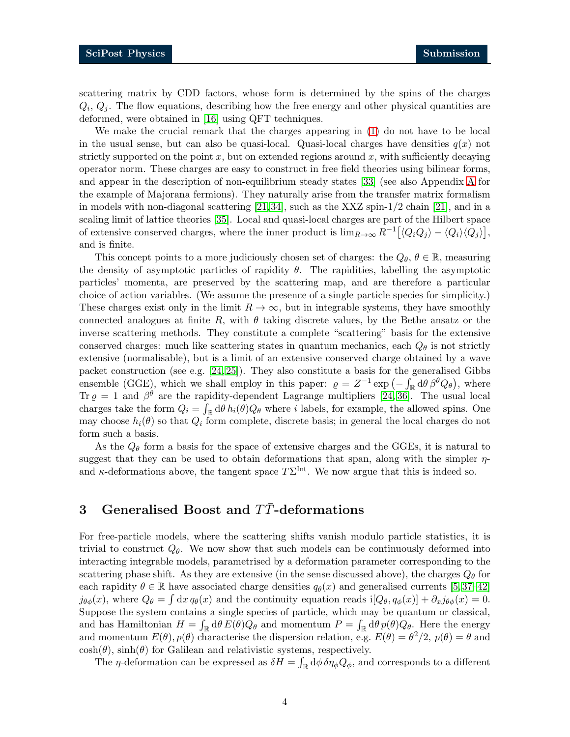scattering matrix by CDD factors, whose form is determined by the spins of the charges  $Q_i, Q_j$ . The flow equations, describing how the free energy and other physical quantities are deformed, were obtained in [\[16\]](#page-21-12) using QFT techniques.

We make the crucial remark that the charges appearing in [\(1\)](#page-2-1) do not have to be local in the usual sense, but can also be quasi-local. Quasi-local charges have densities  $q(x)$  not strictly supported on the point x, but on extended regions around x, with sufficiently decaying operator norm. These charges are easy to construct in free field theories using bilinear forms, and appear in the description of non-equilibrium steady states [\[33\]](#page-22-3) (see also Appendix [A](#page-8-1) for the example of Majorana fermions). They naturally arise from the transfer matrix formalism in models with non-diagonal scattering  $[21,34]$  $[21,34]$ , such as the XXZ spin-1/2 chain  $[21]$ , and in a scaling limit of lattice theories [\[35\]](#page-22-5). Local and quasi-local charges are part of the Hilbert space of extensive conserved charges, where the inner product is  $\lim_{R\to\infty} R^{-1} [\langle Q_i Q_j \rangle - \langle Q_i \rangle \langle Q_j \rangle],$ and is finite.

This concept points to a more judiciously chosen set of charges: the  $Q_{\theta}$ ,  $\theta \in \mathbb{R}$ , measuring the density of asymptotic particles of rapidity  $\theta$ . The rapidities, labelling the asymptotic particles' momenta, are preserved by the scattering map, and are therefore a particular choice of action variables. (We assume the presence of a single particle species for simplicity.) These charges exist only in the limit  $R \to \infty$ , but in integrable systems, they have smoothly connected analogues at finite R, with  $\theta$  taking discrete values, by the Bethe ansatz or the inverse scattering methods. They constitute a complete "scattering" basis for the extensive conserved charges: much like scattering states in quantum mechanics, each  $Q_{\theta}$  is not strictly extensive (normalisable), but is a limit of an extensive conserved charge obtained by a wave packet construction (see e.g. [\[24,](#page-21-8) 25]). They also constitute a basis for the generalised Gibbs ensemble (GGE), which we shall employ in this paper:  $\varrho = Z^{-1} \exp \left(-\int_{\mathbb{R}} d\theta \beta^{\theta} Q_{\theta}\right)$ , where Tr  $\rho = 1$  and  $\beta^{\theta}$  are the rapidity-dependent Lagrange multipliers [\[24,](#page-21-8) [36\]](#page-22-6). The usual local charges take the form  $Q_i = \int_{\mathbb{R}} d\theta \, h_i(\theta) Q_\theta$  where i labels, for example, the allowed spins. One may choose  $h_i(\theta)$  so that  $Q_i$  form complete, discrete basis; in general the local charges do not form such a basis.

As the  $Q_{\theta}$  form a basis for the space of extensive charges and the GGEs, it is natural to suggest that they can be used to obtain deformations that span, along with the simpler  $\eta$ and  $\kappa$ -deformations above, the tangent space  $T\Sigma^{\text{Int}}$ . We now argue that this is indeed so.

# <span id="page-3-0"></span>3 Generalised Boost and TT-deformations

For free-particle models, where the scattering shifts vanish modulo particle statistics, it is trivial to construct  $Q_{\theta}$ . We now show that such models can be continuously deformed into interacting integrable models, parametrised by a deformation parameter corresponding to the scattering phase shift. As they are extensive (in the sense discussed above), the charges  $Q_{\theta}$  for each rapidity  $\theta \in \mathbb{R}$  have associated charge densities  $q_{\theta}(x)$  and generalised currents [\[5,](#page-20-4)37–[42\]](#page-22-8)  $j_{\theta\phi}(x)$ , where  $Q_{\theta} = \int dx q_{\theta}(x)$  and the continuity equation reads  $i[Q_{\theta}, q_{\phi}(x)] + \partial_x j_{\theta\phi}(x) = 0$ . Suppose the system contains a single species of particle, which may be quantum or classical, and has Hamiltonian  $H = \int_{\mathbb{R}} d\theta E(\theta) Q_{\theta}$  and momentum  $P = \int_{\mathbb{R}} d\theta p(\theta) Q_{\theta}$ . Here the energy and momentum  $E(\theta)$ ,  $p(\theta)$  characterise the dispersion relation, e.g.  $E(\theta) = \theta^2/2$ ,  $p(\theta) = \theta$  and  $\cosh(\theta)$ ,  $\sinh(\theta)$  for Galilean and relativistic systems, respectively.

The  $\eta$ -deformation can be expressed as  $\delta H = \int_{\mathbb{R}} d\phi \, \delta \eta_{\phi} Q_{\phi}$ , and corresponds to a different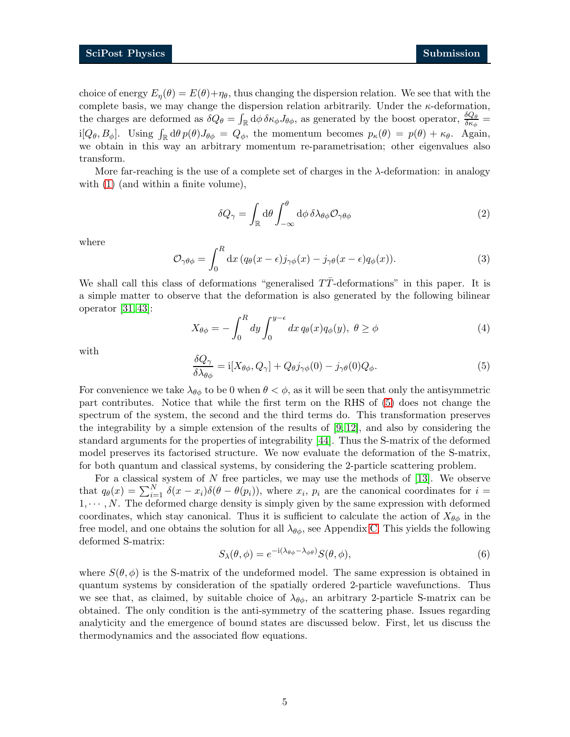choice of energy  $E_n(\theta) = E(\theta) + \eta_\theta$ , thus changing the dispersion relation. We see that with the complete basis, we may change the dispersion relation arbitrarily. Under the  $\kappa$ -deformation, the charges are deformed as  $\delta Q_{\theta} = \int_{\mathbb{R}} d\phi \, \delta \kappa_{\phi} J_{\theta \phi}$ , as generated by the boost operator,  $\frac{\delta Q_{\theta}}{\delta \kappa_{\phi}} =$ i[ $Q_{\theta}, B_{\phi}$ ]. Using  $\int_{\mathbb{R}} d\theta \, p(\theta) J_{\theta\phi} = Q_{\phi}$ , the momentum becomes  $p_{\kappa}(\theta) = p(\theta) + \kappa_{\theta}$ . Again, we obtain in this way an arbitrary momentum re-parametrisation; other eigenvalues also transform.

More far-reaching is the use of a complete set of charges in the  $\lambda$ -deformation: in analogy with  $(1)$  (and within a finite volume),

$$
\delta Q_{\gamma} = \int_{\mathbb{R}} d\theta \int_{-\infty}^{\theta} d\phi \, \delta \lambda_{\theta\phi} \mathcal{O}_{\gamma\theta\phi}
$$
 (2)

<span id="page-4-1"></span>where

$$
\mathcal{O}_{\gamma\theta\phi} = \int_0^R dx \left( q_\theta(x - \epsilon) j_{\gamma\phi}(x) - j_{\gamma\theta}(x - \epsilon) q_\phi(x) \right). \tag{3}
$$

We shall call this class of deformations "generalised  $T\bar{T}$ -deformations" in this paper. It is a simple matter to observe that the deformation is also generated by the following bilinear operator [\[31,](#page-22-2) 43]:

$$
X_{\theta\phi} = -\int_0^R dy \int_0^{y-\epsilon} dx \, q_\theta(x) q_\phi(y), \ \theta \ge \phi \tag{4}
$$

<span id="page-4-0"></span>with

$$
\frac{\delta Q_{\gamma}}{\delta \lambda_{\theta\phi}} = i[X_{\theta\phi}, Q_{\gamma}] + Q_{\theta} j_{\gamma\phi}(0) - j_{\gamma\theta}(0) Q_{\phi}.
$$
\n(5)

For convenience we take  $\lambda_{\theta\phi}$  to be 0 when  $\theta < \phi$ , as it will be seen that only the antisymmetric part contributes. Notice that while the first term on the RHS of [\(5\)](#page-4-0) does not change the spectrum of the system, the second and the third terms do. This transformation preserves the integrability by a simple extension of the results of  $[9, 12]$  $[9, 12]$ , and also by considering the standard arguments for the properties of integrability [\[44\]](#page-22-9). Thus the S-matrix of the deformed model preserves its factorised structure. We now evaluate the deformation of the S-matrix, for both quantum and classical systems, by considering the 2-particle scattering problem.

For a classical system of  $N$  free particles, we may use the methods of [\[13\]](#page-21-0). We observe that  $q_{\theta}(x) = \sum_{i=1}^{N} \delta(x - x_i) \delta(\theta - \theta(p_i))$ , where  $x_i$ ,  $p_i$  are the canonical coordinates for  $i =$  $1, \dots, N$ . The deformed charge density is simply given by the same expression with deformed coordinates, which stay canonical. Thus it is sufficient to calculate the action of  $X_{\theta\phi}$  in the free model, and one obtains the solution for all  $\lambda_{\theta\phi}$ , see Appendix [C.](#page-10-0) This yields the following deformed S-matrix:

<span id="page-4-2"></span>
$$
S_{\lambda}(\theta,\phi) = e^{-i(\lambda_{\theta\phi} - \lambda_{\phi\theta})} S(\theta,\phi),
$$
\n(6)

where  $S(\theta, \phi)$  is the S-matrix of the undeformed model. The same expression is obtained in quantum systems by consideration of the spatially ordered 2-particle wavefunctions. Thus we see that, as claimed, by suitable choice of  $\lambda_{\theta\phi}$ , an arbitrary 2-particle S-matrix can be obtained. The only condition is the anti-symmetry of the scattering phase. Issues regarding analyticity and the emergence of bound states are discussed below. First, let us discuss the thermodynamics and the associated flow equations.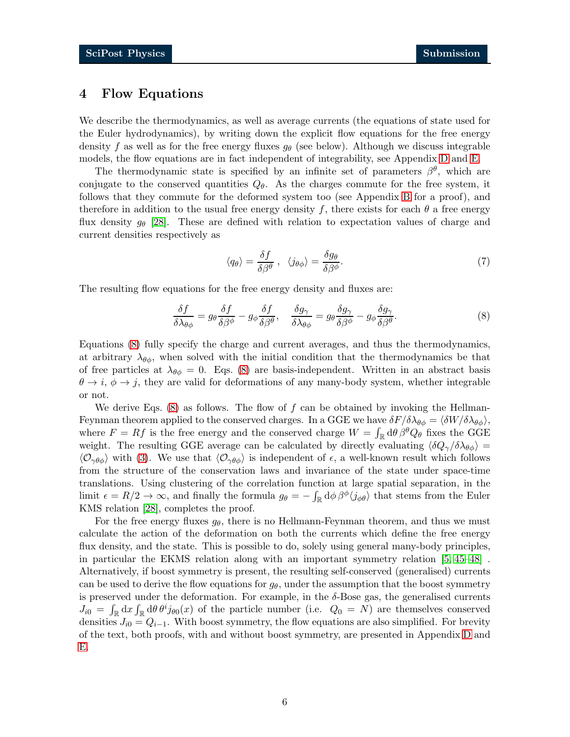# <span id="page-5-0"></span>4 Flow Equations

We describe the thermodynamics, as well as average currents (the equations of state used for the Euler hydrodynamics), by writing down the explicit flow equations for the free energy density f as well as for the free energy fluxes  $g_{\theta}$  (see below). Although we discuss integrable models, the flow equations are in fact independent of integrability, see Appendix [D](#page-13-0) and [E.](#page-16-0)

The thermodynamic state is specified by an infinite set of parameters  $\beta^{\theta}$ , which are conjugate to the conserved quantities  $Q_{\theta}$ . As the charges commute for the free system, it follows that they commute for the deformed system too (see Appendix [B](#page-9-0) for a proof), and therefore in addition to the usual free energy density f, there exists for each  $\theta$  a free energy flux density  $g_{\theta}$  [\[28\]](#page-21-11). These are defined with relation to expectation values of charge and current densities respectively as

<span id="page-5-1"></span>
$$
\langle q_{\theta} \rangle = \frac{\delta f}{\delta \beta^{\theta}} , \quad \langle j_{\theta \phi} \rangle = \frac{\delta g_{\theta}}{\delta \beta^{\phi}}.
$$
 (7)

The resulting flow equations for the free energy density and fluxes are:

$$
\frac{\delta f}{\delta \lambda_{\theta\phi}} = g_{\theta} \frac{\delta f}{\delta \beta^{\phi}} - g_{\phi} \frac{\delta f}{\delta \beta^{\theta}}, \quad \frac{\delta g_{\gamma}}{\delta \lambda_{\theta\phi}} = g_{\theta} \frac{\delta g_{\gamma}}{\delta \beta^{\phi}} - g_{\phi} \frac{\delta g_{\gamma}}{\delta \beta^{\theta}}.
$$
\n(8)

Equations [\(8\)](#page-5-1) fully specify the charge and current averages, and thus the thermodynamics, at arbitrary  $\lambda_{\theta\phi}$ , when solved with the initial condition that the thermodynamics be that of free particles at  $\lambda_{\theta\phi} = 0$ . Eqs. [\(8\)](#page-5-1) are basis-independent. Written in an abstract basis  $\theta \to i$ ,  $\phi \to j$ , they are valid for deformations of any many-body system, whether integrable or not.

We derive Eqs.  $(8)$  as follows. The flow of f can be obtained by invoking the Hellman-Feynman theorem applied to the conserved charges. In a GGE we have  $\delta F/\delta \lambda_{\theta\phi} = \langle \delta W/\delta \lambda_{\theta\phi} \rangle$ , where  $F = Rf$  is the free energy and the conserved charge  $W = \int_{\mathbb{R}} d\theta \beta^{\theta} Q_{\theta}$  fixes the GGE weight. The resulting GGE average can be calculated by directly evaluating  $\langle \delta Q_{\gamma}/\delta \lambda_{\theta \phi} \rangle$  =  $\langle \mathcal{O}_{\gamma\theta\phi} \rangle$  with [\(3\)](#page-4-1). We use that  $\langle \mathcal{O}_{\gamma\theta\phi} \rangle$  is independent of  $\epsilon$ , a well-known result which follows from the structure of the conservation laws and invariance of the state under space-time translations. Using clustering of the correlation function at large spatial separation, in the limit  $\epsilon = R/2 \to \infty$ , and finally the formula  $g_{\theta} = -\int_{\mathbb{R}} d\phi \beta^{\phi} \langle j_{\phi\theta} \rangle$  that stems from the Euler KMS relation [\[28\]](#page-21-11), completes the proof.

For the free energy fluxes  $g_{\theta}$ , there is no Hellmann-Feynman theorem, and thus we must calculate the action of the deformation on both the currents which define the free energy flux density, and the state. This is possible to do, solely using general many-body principles, in particular the EKMS relation along with an important symmetry relation [\[5,](#page-20-4) [45–](#page-23-0)[48\]](#page-23-1) . Alternatively, if boost symmetry is present, the resulting self-conserved (generalised) currents can be used to derive the flow equations for  $g_{\theta}$ , under the assumption that the boost symmetry is preserved under the deformation. For example, in the  $\delta$ -Bose gas, the generalised currents  $J_{i0} = \int_{\mathbb{R}} dx \int_{\mathbb{R}} d\theta \, \theta^{i} j_{\theta 0}(x)$  of the particle number (i.e.  $Q_0 = N$ ) are themselves conserved densities  $J_{i0} = Q_{i-1}$ . With boost symmetry, the flow equations are also simplified. For brevity of the text, both proofs, with and without boost symmetry, are presented in Appendix [D](#page-13-0) and [E.](#page-16-0)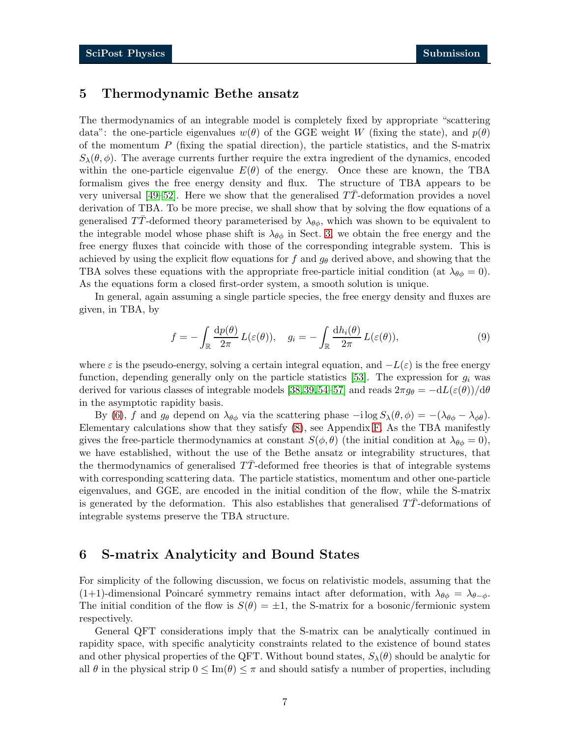# <span id="page-6-0"></span>5 Thermodynamic Bethe ansatz

The thermodynamics of an integrable model is completely fixed by appropriate "scattering data": the one-particle eigenvalues  $w(\theta)$  of the GGE weight W (fixing the state), and  $p(\theta)$ of the momentum  $P$  (fixing the spatial direction), the particle statistics, and the S-matrix  $S_{\lambda}(\theta, \phi)$ . The average currents further require the extra ingredient of the dynamics, encoded within the one-particle eigenvalue  $E(\theta)$  of the energy. Once these are known, the TBA formalism gives the free energy density and flux. The structure of TBA appears to be very universal  $[49–52]$  $[49–52]$ . Here we show that the generalised TT-deformation provides a novel derivation of TBA. To be more precise, we shall show that by solving the flow equations of a generalised TT-deformed theory parameterised by  $\lambda_{\theta\phi}$ , which was shown to be equivalent to the integrable model whose phase shift is  $\lambda_{\theta\phi}$  in Sect. [3,](#page-3-0) we obtain the free energy and the free energy fluxes that coincide with those of the corresponding integrable system. This is achieved by using the explicit flow equations for f and  $g_{\theta}$  derived above, and showing that the TBA solves these equations with the appropriate free-particle initial condition (at  $\lambda_{\theta\phi} = 0$ ). As the equations form a closed first-order system, a smooth solution is unique.

In general, again assuming a single particle species, the free energy density and fluxes are given, in TBA, by

$$
f = -\int_{\mathbb{R}} \frac{\mathrm{d}p(\theta)}{2\pi} L(\varepsilon(\theta)), \quad g_i = -\int_{\mathbb{R}} \frac{\mathrm{d}h_i(\theta)}{2\pi} L(\varepsilon(\theta)), \tag{9}
$$

where  $\varepsilon$  is the pseudo-energy, solving a certain integral equation, and  $-L(\varepsilon)$  is the free energy function, depending generally only on the particle statistics [\[53\]](#page-23-4). The expression for  $g_i$  was derived for various classes of integrable models [\[38,](#page-22-10)[39,](#page-22-11)[54–](#page-23-5)57] and reads  $2\pi g_{\theta} = -dL(\varepsilon(\theta))/d\theta$ in the asymptotic rapidity basis.

By [\(6\)](#page-4-2), f and  $g_{\theta}$  depend on  $\lambda_{\theta\phi}$  via the scattering phase  $-i \log S_{\lambda}(\theta, \phi) = -(\lambda_{\theta\phi} - \lambda_{\phi\theta})$ . Elementary calculations show that they satisfy [\(8\)](#page-5-1), see Appendix [F.](#page-18-0) As the TBA manifestly gives the free-particle thermodynamics at constant  $S(\phi, \theta)$  (the initial condition at  $\lambda_{\theta\phi} = 0$ ), we have established, without the use of the Bethe ansatz or integrability structures, that the thermodynamics of generalised  $TT$ -deformed free theories is that of integrable systems with corresponding scattering data. The particle statistics, momentum and other one-particle eigenvalues, and GGE, are encoded in the initial condition of the flow, while the S-matrix is generated by the deformation. This also establishes that generalised  $TT$ -deformations of integrable systems preserve the TBA structure.

## <span id="page-6-1"></span>6 S-matrix Analyticity and Bound States

For simplicity of the following discussion, we focus on relativistic models, assuming that the (1+1)-dimensional Poincaré symmetry remains intact after deformation, with  $\lambda_{\theta\phi} = \lambda_{\theta-\phi}$ . The initial condition of the flow is  $S(\theta) = \pm 1$ , the S-matrix for a bosonic/fermionic system respectively.

General QFT considerations imply that the S-matrix can be analytically continued in rapidity space, with specific analyticity constraints related to the existence of bound states and other physical properties of the QFT. Without bound states,  $S_{\lambda}(\theta)$  should be analytic for all  $\theta$  in the physical strip  $0 \leq \text{Im}(\theta) \leq \pi$  and should satisfy a number of properties, including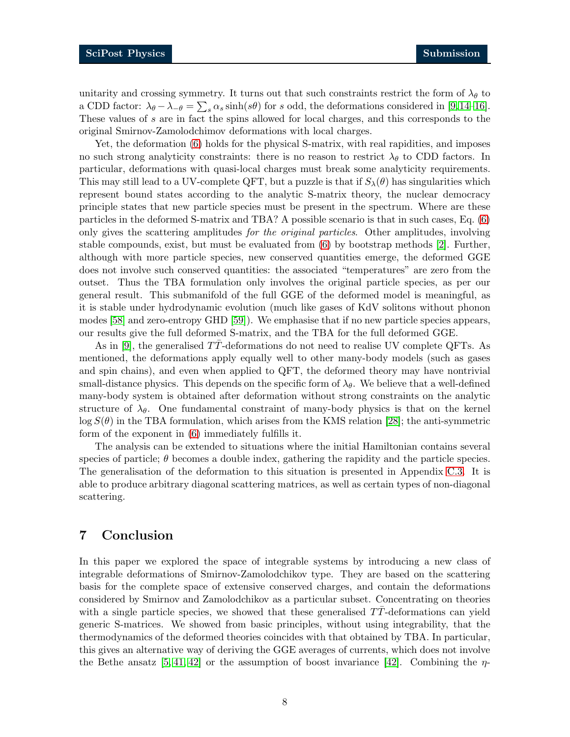unitarity and crossing symmetry. It turns out that such constraints restrict the form of  $\lambda_{\theta}$  to a CDD factor:  $\lambda_{\theta} - \lambda_{-\theta} = \sum_{s} \alpha_{s} \sinh(s\theta)$  for s odd, the deformations considered in [\[9,](#page-20-7)[14](#page-21-1)[–16\]](#page-21-12). These values of s are in fact the spins allowed for local charges, and this corresponds to the original Smirnov-Zamolodchimov deformations with local charges.

Yet, the deformation [\(6\)](#page-4-2) holds for the physical S-matrix, with real rapidities, and imposes no such strong analyticity constraints: there is no reason to restrict  $\lambda_{\theta}$  to CDD factors. In particular, deformations with quasi-local charges must break some analyticity requirements. This may still lead to a UV-complete QFT, but a puzzle is that if  $S_{\lambda}(\theta)$  has singularities which represent bound states according to the analytic S-matrix theory, the nuclear democracy principle states that new particle species must be present in the spectrum. Where are these particles in the deformed S-matrix and TBA? A possible scenario is that in such cases, Eq. [\(6\)](#page-4-2) only gives the scattering amplitudes for the original particles. Other amplitudes, involving stable compounds, exist, but must be evaluated from [\(6\)](#page-4-2) by bootstrap methods [2]. Further, although with more particle species, new conserved quantities emerge, the deformed GGE does not involve such conserved quantities: the associated "temperatures" are zero from the outset. Thus the TBA formulation only involves the original particle species, as per our general result. This submanifold of the full GGE of the deformed model is meaningful, as it is stable under hydrodynamic evolution (much like gases of KdV solitons without phonon modes [\[58\]](#page-23-6) and zero-entropy GHD [\[59\]](#page-23-7)). We emphasise that if no new particle species appears, our results give the full deformed S-matrix, and the TBA for the full deformed GGE.

As in [\[9\]](#page-20-7), the generalised TT-deformations do not need to realise UV complete QFTs. As mentioned, the deformations apply equally well to other many-body models (such as gases and spin chains), and even when applied to QFT, the deformed theory may have nontrivial small-distance physics. This depends on the specific form of  $\lambda_{\theta}$ . We believe that a well-defined many-body system is obtained after deformation without strong constraints on the analytic structure of  $\lambda_{\theta}$ . One fundamental constraint of many-body physics is that on the kernel  $\log S(\theta)$  in the TBA formulation, which arises from the KMS relation [\[28\]](#page-21-11); the anti-symmetric form of the exponent in [\(6\)](#page-4-2) immediately fulfills it.

The analysis can be extended to situations where the initial Hamiltonian contains several species of particle;  $\theta$  becomes a double index, gathering the rapidity and the particle species. The generalisation of the deformation to this situation is presented in Appendix [C.3.](#page-12-1) It is able to produce arbitrary diagonal scattering matrices, as well as certain types of non-diagonal scattering.

# <span id="page-7-0"></span>7 Conclusion

In this paper we explored the space of integrable systems by introducing a new class of integrable deformations of Smirnov-Zamolodchikov type. They are based on the scattering basis for the complete space of extensive conserved charges, and contain the deformations considered by Smirnov and Zamolodchikov as a particular subset. Concentrating on theories with a single particle species, we showed that these generalised  $TT$ -deformations can yield generic S-matrices. We showed from basic principles, without using integrability, that the thermodynamics of the deformed theories coincides with that obtained by TBA. In particular, this gives an alternative way of deriving the GGE averages of currents, which does not involve the Bethe ansatz  $[5, 41, 42]$  $[5, 41, 42]$  $[5, 41, 42]$  or the assumption of boost invariance  $[42]$ . Combining the  $\eta$ -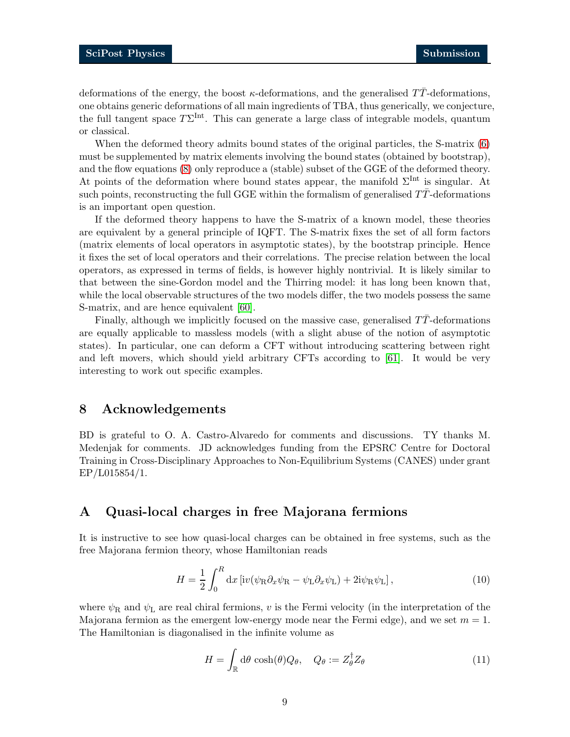deformations of the energy, the boost  $\kappa$ -deformations, and the generalised TT-deformations, one obtains generic deformations of all main ingredients of TBA, thus generically, we conjecture, the full tangent space  $T\Sigma^{\text{Int}}$ . This can generate a large class of integrable models, quantum or classical.

When the deformed theory admits bound states of the original particles, the S-matrix  $(6)$ must be supplemented by matrix elements involving the bound states (obtained by bootstrap), and the flow equations [\(8\)](#page-5-1) only reproduce a (stable) subset of the GGE of the deformed theory. At points of the deformation where bound states appear, the manifold  $\Sigma^{\text{Int}}$  is singular. At such points, reconstructing the full GGE within the formalism of generalised  $T\bar{T}$ -deformations is an important open question.

If the deformed theory happens to have the S-matrix of a known model, these theories are equivalent by a general principle of IQFT. The S-matrix fixes the set of all form factors (matrix elements of local operators in asymptotic states), by the bootstrap principle. Hence it fixes the set of local operators and their correlations. The precise relation between the local operators, as expressed in terms of fields, is however highly nontrivial. It is likely similar to that between the sine-Gordon model and the Thirring model: it has long been known that, while the local observable structures of the two models differ, the two models possess the same S-matrix, and are hence equivalent [\[60\]](#page-24-0).

Finally, although we implicitly focused on the massive case, generalised  $T\bar{T}$ -deformations are equally applicable to massless models (with a slight abuse of the notion of asymptotic states). In particular, one can deform a CFT without introducing scattering between right and left movers, which should yield arbitrary CFTs according to [\[61\]](#page-24-1). It would be very interesting to work out specific examples.

## <span id="page-8-0"></span>8 Acknowledgements

BD is grateful to O. A. Castro-Alvaredo for comments and discussions. TY thanks M. Medenjak for comments. JD acknowledges funding from the EPSRC Centre for Doctoral Training in Cross-Disciplinary Approaches to Non-Equilibrium Systems (CANES) under grant EP/L015854/1.

# <span id="page-8-1"></span>A Quasi-local charges in free Majorana fermions

It is instructive to see how quasi-local charges can be obtained in free systems, such as the free Majorana fermion theory, whose Hamiltonian reads

$$
H = \frac{1}{2} \int_0^R dx \left[ i v (\psi_R \partial_x \psi_R - \psi_L \partial_x \psi_L) + 2 i \psi_R \psi_L \right],
$$
 (10)

where  $\psi_R$  and  $\psi_L$  are real chiral fermions, v is the Fermi velocity (in the interpretation of the Majorana fermion as the emergent low-energy mode near the Fermi edge), and we set  $m = 1$ . The Hamiltonian is diagonalised in the infinite volume as

$$
H = \int_{\mathbb{R}} d\theta \cosh(\theta) Q_{\theta}, \quad Q_{\theta} := Z_{\theta}^{\dagger} Z_{\theta}
$$
 (11)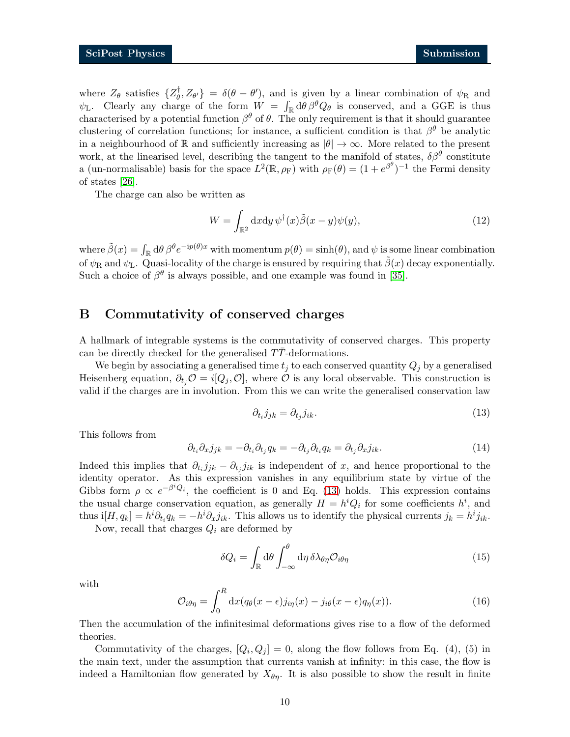where  $Z_{\theta}$  satisfies  $\{Z_{\theta}^{\dagger}$  $\{\vectheta}_\theta, Z_{\theta'}\} = \delta(\theta - \theta')$ , and is given by a linear combination of  $\psi_R$  and  $\psi_L$ . Clearly any charge of the form  $W = \int_{\mathbb{R}} d\theta \beta^{\theta} Q_{\theta}$  is conserved, and a GGE is thus characterised by a potential function  $\beta^{\theta}$  of  $\theta$ . The only requirement is that it should guarantee clustering of correlation functions; for instance, a sufficient condition is that  $\beta^{\theta}$  be analytic in a neighbourhood of R and sufficiently increasing as  $|\theta| \to \infty$ . More related to the present work, at the linearised level, describing the tangent to the manifold of states,  $\delta\beta^{\theta}$  constitute a (un-normalisable) basis for the space  $L^2(\mathbb{R}, \rho_F)$  with  $\rho_F(\theta) = (1 + e^{\beta \theta})^{-1}$  the Fermi density of states [\[26\]](#page-21-9).

The charge can also be written as

$$
W = \int_{\mathbb{R}^2} dxdy \,\psi^{\dagger}(x)\tilde{\beta}(x-y)\psi(y),\tag{12}
$$

where  $\tilde{\beta}(x) = \int_{\mathbb{R}} d\theta \beta^{\theta} e^{-ip(\theta)x}$  with momentum  $p(\theta) = \sinh(\theta)$ , and  $\psi$  is some linear combination of  $\psi_R$  and  $\psi_L$ . Quasi-locality of the charge is ensured by requiring that  $\beta(x)$  decay exponentially. Such a choice of  $\beta^{\theta}$  is always possible, and one example was found in [\[35\]](#page-22-5).

## <span id="page-9-0"></span>B Commutativity of conserved charges

A hallmark of integrable systems is the commutativity of conserved charges. This property can be directly checked for the generalised  $TT$ -deformations.

We begin by associating a generalised time  $t_j$  to each conserved quantity  $Q_j$  by a generalised Heisenberg equation,  $\partial_{t_i}\mathcal{O}=i[Q_i,\mathcal{O}]$ , where  $\mathcal O$  is any local observable. This construction is valid if the charges are in involution. From this we can write the generalised conservation law

<span id="page-9-1"></span>
$$
\partial_{t_i} j_{jk} = \partial_{t_j} j_{ik}.\tag{13}
$$

This follows from

$$
\partial_{t_i}\partial_x j_{jk} = -\partial_{t_i}\partial_{t_j} q_k = -\partial_{t_j}\partial_{t_i} q_k = \partial_{t_j}\partial_x j_{ik}.
$$
\n(14)

Indeed this implies that  $\partial_{t_i} j_{jk} - \partial_{t_j} j_{ik}$  is independent of x, and hence proportional to the identity operator. As this expression vanishes in any equilibrium state by virtue of the Gibbs form  $\rho \propto e^{-\beta^i Q_i}$ , the coefficient is 0 and Eq. [\(13\)](#page-9-1) holds. This expression contains the usual charge conservation equation, as generally  $H = h^{i}Q_{i}$  for some coefficients  $h^{i}$ , and thus  $i[H, q_k] = h^i \partial_{t_i} q_k = -h^i \partial_x j_{ik}$ . This allows us to identify the physical currents  $j_k = h^i j_{ik}$ .

Now, recall that charges  $Q_i$  are deformed by

<span id="page-9-2"></span>
$$
\delta Q_i = \int_{\mathbb{R}} d\theta \int_{-\infty}^{\theta} d\eta \, \delta \lambda_{\theta \eta} \mathcal{O}_{i\theta \eta} \tag{15}
$$

with

$$
\mathcal{O}_{i\theta\eta} = \int_0^R dx (q_\theta(x-\epsilon)j_{i\eta}(x) - j_{i\theta}(x-\epsilon)q_\eta(x)).
$$
\n(16)

Then the accumulation of the infinitesimal deformations gives rise to a flow of the deformed theories.

Commutativity of the charges,  $[Q_i, Q_j] = 0$ , along the flow follows from Eq. (4), (5) in the main text, under the assumption that currents vanish at infinity: in this case, the flow is indeed a Hamiltonian flow generated by  $X_{\theta\eta}$ . It is also possible to show the result in finite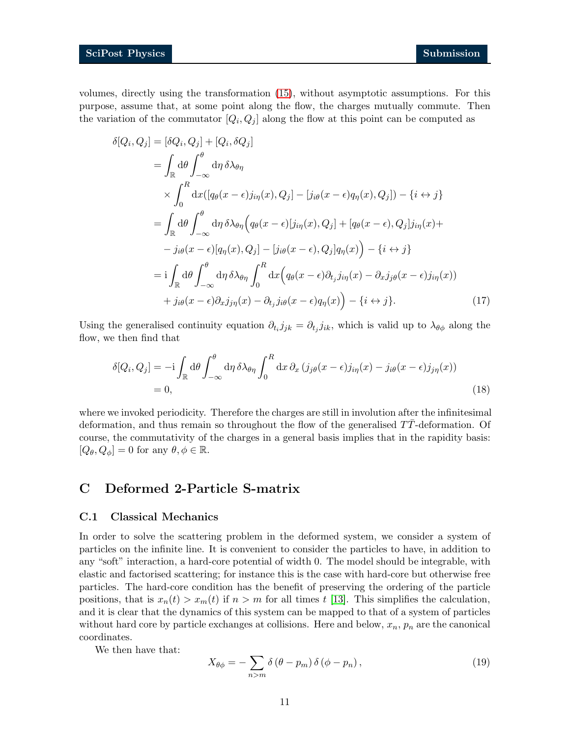volumes, directly using the transformation [\(15\)](#page-9-2), without asymptotic assumptions. For this purpose, assume that, at some point along the flow, the charges mutually commute. Then the variation of the commutator  $[Q_i, Q_j]$  along the flow at this point can be computed as

$$
\delta[Q_i, Q_j] = [\delta Q_i, Q_j] + [Q_i, \delta Q_j]
$$
  
\n
$$
= \int_{\mathbb{R}} d\theta \int_{-\infty}^{\theta} d\eta \, \delta \lambda_{\theta \eta}
$$
  
\n
$$
\times \int_{0}^{R} dx ([q_{\theta}(x - \epsilon)j_{i\eta}(x), Q_j] - [j_{i\theta}(x - \epsilon)q_{\eta}(x), Q_j]) - \{i \leftrightarrow j\}
$$
  
\n
$$
= \int_{\mathbb{R}} d\theta \int_{-\infty}^{\theta} d\eta \, \delta \lambda_{\theta \eta} (q_{\theta}(x - \epsilon) [j_{i\eta}(x), Q_j] + [q_{\theta}(x - \epsilon), Q_j]j_{i\eta}(x) +
$$
  
\n
$$
- j_{i\theta}(x - \epsilon) [q_{\eta}(x), Q_j] - [j_{i\theta}(x - \epsilon), Q_j]q_{\eta}(x) - \{i \leftrightarrow j\}
$$
  
\n
$$
= i \int_{\mathbb{R}} d\theta \int_{-\infty}^{\theta} d\eta \, \delta \lambda_{\theta \eta} \int_{0}^{R} dx (q_{\theta}(x - \epsilon) \partial_{t_j} j_{i\eta}(x) - \partial_{x} j_{j\theta}(x - \epsilon) j_{i\eta}(x))
$$
  
\n
$$
+ j_{i\theta}(x - \epsilon) \partial_{x} j_{j\eta}(x) - \partial_{t_j} j_{i\theta}(x - \epsilon) q_{\eta}(x) - \{i \leftrightarrow j\}. \tag{17}
$$

Using the generalised continuity equation  $\partial_{t_i} j_{jk} = \partial_{t_j} j_{ik}$ , which is valid up to  $\lambda_{\theta\phi}$  along the flow, we then find that

$$
\delta[Q_i, Q_j] = -i \int_{\mathbb{R}} d\theta \int_{-\infty}^{\theta} d\eta \, \delta\lambda_{\theta\eta} \int_0^R dx \, \partial_x (j_{j\theta}(x - \epsilon)j_{i\eta}(x) - j_{i\theta}(x - \epsilon)j_{j\eta}(x))
$$
\n
$$
= 0,
$$
\n(18)

where we invoked periodicity. Therefore the charges are still in involution after the infinitesimal deformation, and thus remain so throughout the flow of the generalised  $TT$ -deformation. Of course, the commutativity of the charges in a general basis implies that in the rapidity basis:  $[Q_{\theta}, Q_{\phi}] = 0$  for any  $\theta, \phi \in \mathbb{R}$ .

# <span id="page-10-0"></span>C Deformed 2-Particle S-matrix

### <span id="page-10-1"></span>C.1 Classical Mechanics

In order to solve the scattering problem in the deformed system, we consider a system of particles on the infinite line. It is convenient to consider the particles to have, in addition to any "soft" interaction, a hard-core potential of width 0. The model should be integrable, with elastic and factorised scattering; for instance this is the case with hard-core but otherwise free particles. The hard-core condition has the benefit of preserving the ordering of the particle positions, that is  $x_n(t) > x_m(t)$  if  $n > m$  for all times t [\[13\]](#page-21-0). This simplifies the calculation, and it is clear that the dynamics of this system can be mapped to that of a system of particles without hard core by particle exchanges at collisions. Here and below,  $x_n$ ,  $p_n$  are the canonical coordinates.

We then have that:

<span id="page-10-2"></span>
$$
X_{\theta\phi} = -\sum_{n>m} \delta\left(\theta - p_m\right) \delta\left(\phi - p_n\right),\tag{19}
$$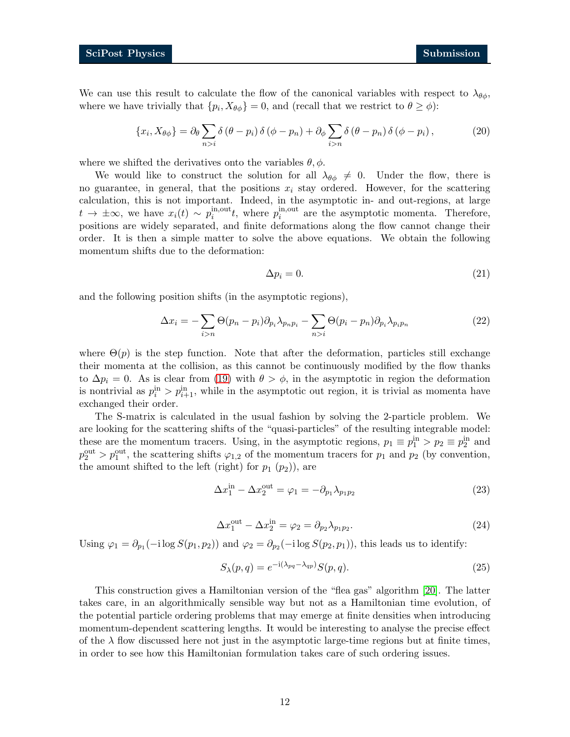We can use this result to calculate the flow of the canonical variables with respect to  $\lambda_{\theta\phi}$ , where we have trivially that  $\{p_i, X_{\theta\phi}\}=0$ , and (recall that we restrict to  $\theta \ge \phi$ ):

$$
\{x_i, X_{\theta\phi}\} = \partial_\theta \sum_{n>i} \delta\left(\theta - p_i\right) \delta\left(\phi - p_n\right) + \partial_\phi \sum_{i>n} \delta\left(\theta - p_n\right) \delta\left(\phi - p_i\right),\tag{20}
$$

where we shifted the derivatives onto the variables  $\theta$ ,  $\phi$ .

We would like to construct the solution for all  $\lambda_{\theta\phi}\neq 0$ . Under the flow, there is no guarantee, in general, that the positions  $x_i$  stay ordered. However, for the scattering calculation, this is not important. Indeed, in the asymptotic in- and out-regions, at large  $t \to \pm \infty$ , we have  $x_i(t) \sim p_i^{\text{in,out}}$  $i^{in,out}$ , where  $p_i^{in,out}$  $i_i^{\text{in,out}}$  are the asymptotic momenta. Therefore, positions are widely separated, and finite deformations along the flow cannot change their order. It is then a simple matter to solve the above equations. We obtain the following momentum shifts due to the deformation:

$$
\Delta p_i = 0. \tag{21}
$$

and the following position shifts (in the asymptotic regions),

$$
\Delta x_i = -\sum_{i>n} \Theta(p_n - p_i) \partial_{p_i} \lambda_{p_n p_i} - \sum_{n>i} \Theta(p_i - p_n) \partial_{p_i} \lambda_{p_i p_n}
$$
(22)

where  $\Theta(p)$  is the step function. Note that after the deformation, particles still exchange their momenta at the collision, as this cannot be continuously modified by the flow thanks to  $\Delta p_i = 0$ . As is clear from [\(19\)](#page-10-2) with  $\theta > \phi$ , in the asymptotic in region the deformation is nontrivial as  $p_i^{\text{in}} > p_{i+1}^{\text{in}}$ , while in the asymptotic out region, it is trivial as momenta have exchanged their order.

The S-matrix is calculated in the usual fashion by solving the 2-particle problem. We are looking for the scattering shifts of the "quasi-particles" of the resulting integrable model: these are the momentum tracers. Using, in the asymptotic regions,  $p_1 \equiv p_1^{\text{in}} > p_2 \equiv p_2^{\text{in}}$  and  $p_2^{\text{out}} > p_1^{\text{out}}$ , the scattering shifts  $\varphi_{1,2}$  of the momentum tracers for  $p_1$  and  $p_2$  (by convention, the amount shifted to the left (right) for  $p_1$   $(p_2)$ ), are

$$
\Delta x_1^{\text{in}} - \Delta x_2^{\text{out}} = \varphi_1 = -\partial_{p_1} \lambda_{p_1 p_2}
$$
\n(23)

$$
\Delta x_1^{\text{out}} - \Delta x_2^{\text{in}} = \varphi_2 = \partial_{p_2} \lambda_{p_1 p_2}.
$$
\n(24)

Using  $\varphi_1 = \partial_{p_1}(-i \log S(p_1, p_2))$  and  $\varphi_2 = \partial_{p_2}(-i \log S(p_2, p_1))$ , this leads us to identify:

$$
S_{\lambda}(p,q) = e^{-i(\lambda_{pq} - \lambda_{qp})} S(p,q).
$$
\n(25)

This construction gives a Hamiltonian version of the "flea gas" algorithm [\[20\]](#page-21-5). The latter takes care, in an algorithmically sensible way but not as a Hamiltonian time evolution, of the potential particle ordering problems that may emerge at finite densities when introducing momentum-dependent scattering lengths. It would be interesting to analyse the precise effect of the  $\lambda$  flow discussed here not just in the asymptotic large-time regions but at finite times, in order to see how this Hamiltonian formulation takes care of such ordering issues.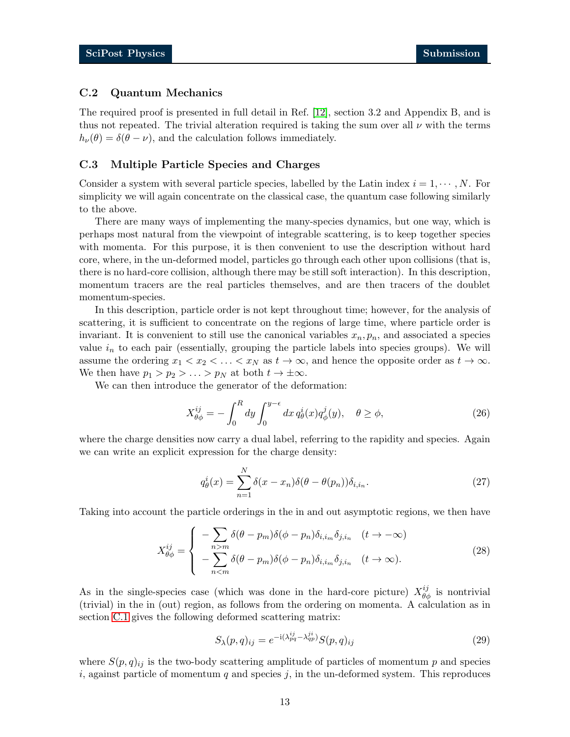### <span id="page-12-0"></span>C.2 Quantum Mechanics

The required proof is presented in full detail in Ref. [\[12\]](#page-20-10), section 3.2 and Appendix B, and is thus not repeated. The trivial alteration required is taking the sum over all  $\nu$  with the terms  $h_{\nu}(\theta) = \delta(\theta - \nu)$ , and the calculation follows immediately.

#### <span id="page-12-1"></span>C.3 Multiple Particle Species and Charges

Consider a system with several particle species, labelled by the Latin index  $i = 1, \dots, N$ . For simplicity we will again concentrate on the classical case, the quantum case following similarly to the above.

There are many ways of implementing the many-species dynamics, but one way, which is perhaps most natural from the viewpoint of integrable scattering, is to keep together species with momenta. For this purpose, it is then convenient to use the description without hard core, where, in the un-deformed model, particles go through each other upon collisions (that is, there is no hard-core collision, although there may be still soft interaction). In this description, momentum tracers are the real particles themselves, and are then tracers of the doublet momentum-species.

In this description, particle order is not kept throughout time; however, for the analysis of scattering, it is sufficient to concentrate on the regions of large time, where particle order is invariant. It is convenient to still use the canonical variables  $x_n, p_n$ , and associated a species value  $i_n$  to each pair (essentially, grouping the particle labels into species groups). We will assume the ordering  $x_1 < x_2 < \ldots < x_N$  as  $t \to \infty$ , and hence the opposite order as  $t \to \infty$ . We then have  $p_1 > p_2 > \ldots > p_N$  at both  $t \to \pm \infty$ .

We can then introduce the generator of the deformation:

$$
X_{\theta\phi}^{ij} = -\int_0^R dy \int_0^{y-\epsilon} dx \, q_\theta^i(x) q_\phi^j(y), \quad \theta \ge \phi,
$$
 (26)

where the charge densities now carry a dual label, referring to the rapidity and species. Again we can write an explicit expression for the charge density:

$$
q_{\theta}^{i}(x) = \sum_{n=1}^{N} \delta(x - x_{n}) \delta(\theta - \theta(p_{n})) \delta_{i, i_{n}}.
$$
\n(27)

Taking into account the particle orderings in the in and out asymptotic regions, we then have

$$
X_{\theta\phi}^{ij} = \begin{cases} -\sum_{n>m} \delta(\theta - p_m) \delta(\phi - p_n) \delta_{i,i_m} \delta_{j,i_n} & (t \to -\infty) \\ -\sum_{n < m} \delta(\theta - p_m) \delta(\phi - p_n) \delta_{i,i_m} \delta_{j,i_n} & (t \to \infty). \end{cases} \tag{28}
$$

As in the single-species case (which was done in the hard-core picture)  $X_{\theta\phi}^{ij}$  is nontrivial (trivial) in the in (out) region, as follows from the ordering on momenta. A calculation as in section [C.1](#page-10-1) gives the following deformed scattering matrix:

$$
S_{\lambda}(p,q)_{ij} = e^{-i(\lambda_{pq}^{ij} - \lambda_{qp}^{ji})} S(p,q)_{ij}
$$
\n
$$
(29)
$$

where  $S(p,q)_{ij}$  is the two-body scattering amplitude of particles of momentum p and species i, against particle of momentum  $q$  and species  $j$ , in the un-deformed system. This reproduces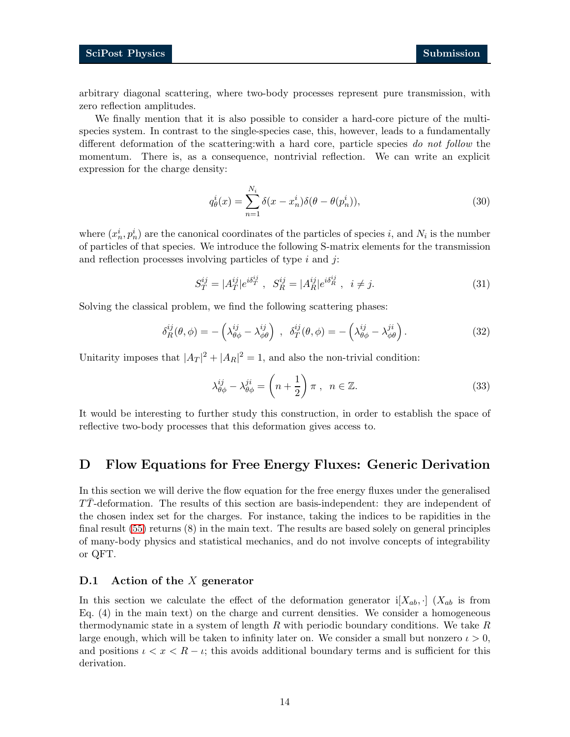arbitrary diagonal scattering, where two-body processes represent pure transmission, with zero reflection amplitudes.

We finally mention that it is also possible to consider a hard-core picture of the multispecies system. In contrast to the single-species case, this, however, leads to a fundamentally different deformation of the scattering:with a hard core, particle species do not follow the momentum. There is, as a consequence, nontrivial reflection. We can write an explicit expression for the charge density:

$$
q_{\theta}^{i}(x) = \sum_{n=1}^{N_i} \delta(x - x_n^{i}) \delta(\theta - \theta(p_n^{i})),
$$
\n(30)

where  $(x_n^i, p_n^i)$  are the canonical coordinates of the particles of species i, and  $N_i$  is the number of particles of that species. We introduce the following S-matrix elements for the transmission and reflection processes involving particles of type  $i$  and  $j$ :

$$
S_T^{ij} = |A_T^{ij}| e^{i\delta_T^{ij}} , \quad S_R^{ij} = |A_R^{ij}| e^{i\delta_R^{ij}} , \quad i \neq j.
$$
 (31)

Solving the classical problem, we find the following scattering phases:

$$
\delta_R^{ij}(\theta,\phi) = -\left(\lambda_{\theta\phi}^{ij} - \lambda_{\phi\theta}^{ij}\right) , \quad \delta_T^{ij}(\theta,\phi) = -\left(\lambda_{\theta\phi}^{ij} - \lambda_{\phi\theta}^{ji}\right). \tag{32}
$$

Unitarity imposes that  $|A_T|^2 + |A_R|^2 = 1$ , and also the non-trivial condition:

$$
\lambda_{\theta\phi}^{ij} - \lambda_{\theta\phi}^{ji} = \left(n + \frac{1}{2}\right)\pi \,, \ \ n \in \mathbb{Z}.\tag{33}
$$

It would be interesting to further study this construction, in order to establish the space of reflective two-body processes that this deformation gives access to.

# <span id="page-13-0"></span>D Flow Equations for Free Energy Fluxes: Generic Derivation

In this section we will derive the flow equation for the free energy fluxes under the generalised TT¯-deformation. The results of this section are basis-independent: they are independent of the chosen index set for the charges. For instance, taking the indices to be rapidities in the final result [\(55\)](#page-16-1) returns (8) in the main text. The results are based solely on general principles of many-body physics and statistical mechanics, and do not involve concepts of integrability or QFT.

#### <span id="page-13-1"></span>D.1 Action of the  $X$  generator

In this section we calculate the effect of the deformation generator  $i[X_{ab}, \cdot]$  ( $X_{ab}$  is from Eq. (4) in the main text) on the charge and current densities. We consider a homogeneous thermodynamic state in a system of length R with periodic boundary conditions. We take R large enough, which will be taken to infinity later on. We consider a small but nonzero  $\iota > 0$ , and positions  $\iota < x < R - \iota$ ; this avoids additional boundary terms and is sufficient for this derivation.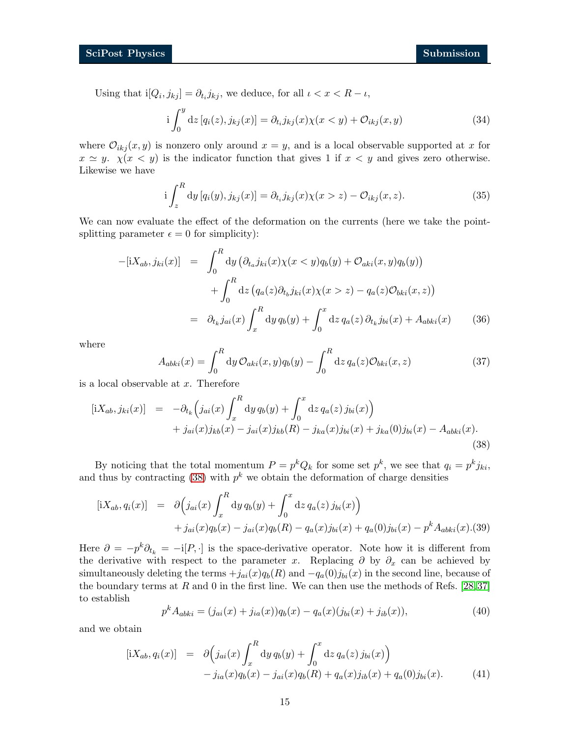Using that  $i[Q_i, j_{kj}] = \partial_{t_i} j_{kj}$ , we deduce, for all  $i < x < R - i$ ,

$$
i\int_0^y dz \left[q_i(z), j_{kj}(x)\right] = \partial_{t_i} j_{kj}(x)\chi(x < y) + \mathcal{O}_{ikj}(x, y)
$$
\n(34)

where  $\mathcal{O}_{ikj}(x, y)$  is nonzero only around  $x = y$ , and is a local observable supported at x for  $x \simeq y$ .  $\chi(x \lt y)$  is the indicator function that gives 1 if  $x \lt y$  and gives zero otherwise. Likewise we have

$$
i\int_{z}^{R} dy \left[q_{i}(y), j_{kj}(x)\right] = \partial_{t_{i}} j_{kj}(x)\chi(x > z) - \mathcal{O}_{ikj}(x, z). \tag{35}
$$

We can now evaluate the effect of the deformation on the currents (here we take the pointsplitting parameter  $\epsilon = 0$  for simplicity):

$$
-[iX_{ab}, j_{ki}(x)] = \int_0^R dy \left( \partial_{t_a} j_{ki}(x) \chi(x < y) q_b(y) + \mathcal{O}_{aki}(x, y) q_b(y) \right) + \int_0^R dz \left( q_a(z) \partial_{t_b} j_{ki}(x) \chi(x > z) - q_a(z) \mathcal{O}_{bki}(x, z) \right) = \partial_{t_k} j_{ai}(x) \int_x^R dy \, q_b(y) + \int_0^x dz \, q_a(z) \, \partial_{t_k} j_{bi}(x) + A_{abki}(x) \tag{36}
$$

where

$$
A_{abki}(x) = \int_0^R dy \, \mathcal{O}_{aki}(x, y) q_b(y) - \int_0^R dz \, q_a(z) \mathcal{O}_{bki}(x, z) \tag{37}
$$

is a local observable at  $x$ . Therefore

<span id="page-14-0"></span>
$$
[iX_{ab}, j_{ki}(x)] = -\partial_{t_k} \left( j_{ai}(x) \int_x^R dy \, q_b(y) + \int_0^x dz \, q_a(z) \, j_{bi}(x) \right) + j_{ai}(x) j_{kb}(x) - j_{ai}(x) j_{kb}(R) - j_{ka}(x) j_{bi}(x) + j_{ka}(0) j_{bi}(x) - A_{abki}(x).
$$
\n(38)

By noticing that the total momentum  $P = p^k Q_k$  for some set  $p^k$ , we see that  $q_i = p^k j_{ki}$ , and thus by contracting [\(38\)](#page-14-0) with  $p^k$  we obtain the deformation of charge densities

$$
[iX_{ab}, q_i(x)] = \partial \Big(j_{ai}(x) \int_x^R dy \, q_b(y) + \int_0^x dz \, q_a(z) \, j_{bi}(x) \Big) + j_{ai}(x) q_b(x) - j_{ai}(x) q_b(R) - q_a(x) j_{bi}(x) + q_a(0) j_{bi}(x) - p^k A_{abki}(x) . (39)
$$

Here  $\partial = -p^k \partial_{t_k} = -i[P, \cdot]$  is the space-derivative operator. Note how it is different from the derivative with respect to the parameter x. Replacing  $\partial$  by  $\partial_x$  can be achieved by simultaneously deleting the terms  $+j_{ai}(x)q_b(R)$  and  $-q_a(0)j_{bi}(x)$  in the second line, because of the boundary terms at  $R$  and  $0$  in the first line. We can then use the methods of Refs. [\[28,](#page-21-11)[37\]](#page-22-7) to establish

$$
p^{k} A_{abki} = (j_{ai}(x) + j_{ia}(x))q_{b}(x) - q_{a}(x)(j_{bi}(x) + j_{ib}(x)),
$$
\n(40)

and we obtain

<span id="page-14-1"></span>
$$
[iX_{ab}, q_i(x)] = \partial \Big(j_{ai}(x) \int_x^R dy q_b(y) + \int_0^x dz q_a(z) j_{bi}(x) \Big) - j_{ia}(x) q_b(x) - j_{ai}(x) q_b(R) + q_a(x) j_{ib}(x) + q_a(0) j_{bi}(x).
$$
(41)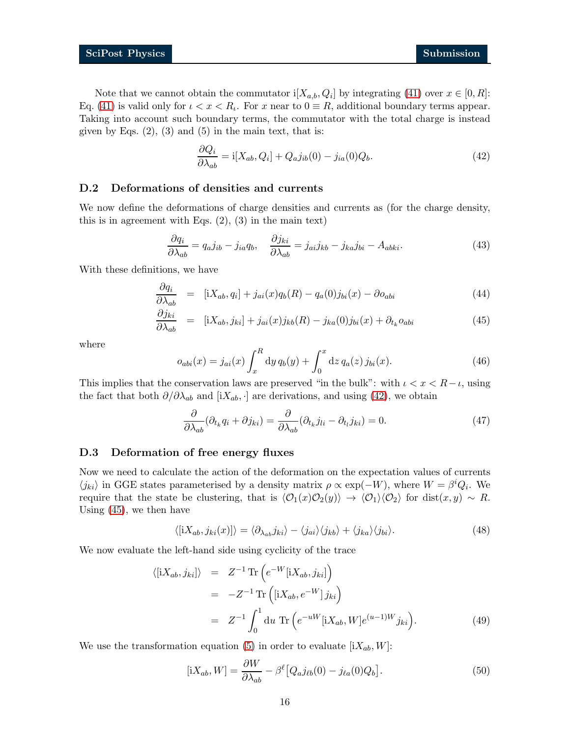Note that we cannot obtain the commutator  $i[X_{a,b}, Q_i]$  by integrating [\(41\)](#page-14-1) over  $x \in [0, R]$ : Eq. [\(41\)](#page-14-1) is valid only for  $\iota < x < R_{\iota}$ . For x near to  $0 \equiv R$ , additional boundary terms appear. Taking into account such boundary terms, the commutator with the total charge is instead given by Eqs.  $(2)$ ,  $(3)$  and  $(5)$  in the main text, that is:

<span id="page-15-2"></span>
$$
\frac{\partial Q_i}{\partial \lambda_{ab}} = i[X_{ab}, Q_i] + Q_a j_{ib}(0) - j_{ia}(0)Q_b.
$$
\n(42)

#### <span id="page-15-0"></span>D.2 Deformations of densities and currents

We now define the deformations of charge densities and currents as (for the charge density, this is in agreement with Eqs. (2), (3) in the main text)

$$
\frac{\partial q_i}{\partial \lambda_{ab}} = q_a j_{ib} - j_{ia} q_b, \quad \frac{\partial j_{ki}}{\partial \lambda_{ab}} = j_{ai} j_{kb} - j_{ka} j_{bi} - A_{abki}.
$$
 (43)

With these definitions, we have

<span id="page-15-3"></span>
$$
\frac{\partial q_i}{\partial \lambda_{ab}} = [iX_{ab}, q_i] + j_{ai}(x)q_b(R) - q_a(0)j_{bi}(x) - \partial o_{abi} \tag{44}
$$

$$
\frac{\partial j_{ki}}{\partial \lambda_{ab}} = \left[ iX_{ab}, j_{ki} \right] + j_{ai}(x) j_{kb}(R) - j_{ka}(0) j_{bi}(x) + \partial_{t_k} o_{abi} \tag{45}
$$

where

$$
o_{abi}(x) = j_{ai}(x) \int_x^R dy \, q_b(y) + \int_0^x dz \, q_a(z) \, j_{bi}(x). \tag{46}
$$

This implies that the conservation laws are preserved "in the bulk": with  $\iota < x < R - \iota$ , using the fact that both  $\partial/\partial \lambda_{ab}$  and  $[iX_{ab}, \cdot]$  are derivations, and using [\(42\)](#page-15-2), we obtain

$$
\frac{\partial}{\partial \lambda_{ab}} (\partial_{t_k} q_i + \partial j_{ki}) = \frac{\partial}{\partial \lambda_{ab}} (\partial_{t_k} j_{li} - \partial_{t_l} j_{ki}) = 0.
$$
\n(47)

#### <span id="page-15-1"></span>D.3 Deformation of free energy fluxes

Now we need to calculate the action of the deformation on the expectation values of currents  $\langle j_{ki} \rangle$  in GGE states parameterised by a density matrix  $\rho \propto \exp(-W)$ , where  $W = \beta^i Q_i$ . We require that the state be clustering, that is  $\langle \mathcal{O}_1(x)\mathcal{O}_2(y)\rangle \to \langle \mathcal{O}_1\rangle\langle\mathcal{O}_2\rangle$  for dist $(x, y) \sim R$ . Using [\(45\)](#page-15-3), we then have

<span id="page-15-6"></span>
$$
\langle [iX_{ab}, j_{ki}(x)] \rangle = \langle \partial_{\lambda_{ab}} j_{ki} \rangle - \langle j_{ai} \rangle \langle j_{kb} \rangle + \langle j_{ka} \rangle \langle j_{bi} \rangle. \tag{48}
$$

We now evaluate the left-hand side using cyclicity of the trace

<span id="page-15-5"></span>
$$
\langle [iX_{ab}, j_{ki}] \rangle = Z^{-1} \operatorname{Tr} \left( e^{-W} [iX_{ab}, j_{ki}] \right)
$$
  
\n
$$
= -Z^{-1} \operatorname{Tr} \left( [iX_{ab}, e^{-W}] j_{ki} \right)
$$
  
\n
$$
= Z^{-1} \int_0^1 du \operatorname{Tr} \left( e^{-uW} [iX_{ab}, W] e^{(u-1)W} j_{ki} \right).
$$
 (49)

We use the transformation equation [\(5\)](#page-4-0) in order to evaluate  $[iX_{ab}, W]$ :

<span id="page-15-4"></span>
$$
[iX_{ab}, W] = \frac{\partial W}{\partial \lambda_{ab}} - \beta^{\ell} [Q_{a}j_{\ell b}(0) - j_{\ell a}(0)Q_{b}].
$$
\n(50)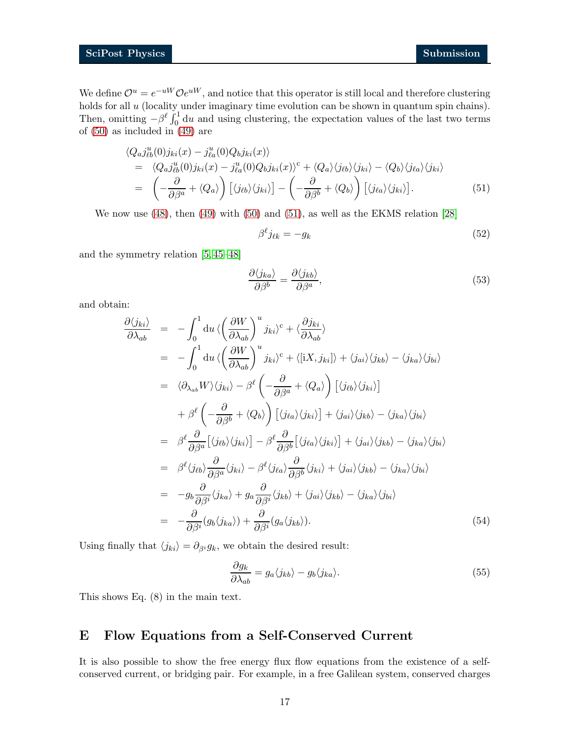We define  $\mathcal{O}^u = e^{-uW} \mathcal{O}e^{uW}$ , and notice that this operator is still local and therefore clustering holds for all u (locality under imaginary time evolution can be shown in quantum spin chains). Then, omitting  $-\beta^{\ell} \int_0^1 du$  and using clustering, the expectation values of the last two terms of [\(50\)](#page-15-4) as included in [\(49\)](#page-15-5) are

<span id="page-16-2"></span>
$$
\langle Q_{a}j_{\ell b}^{u}(0)j_{ki}(x) - j_{\ell a}^{u}(0)Q_{b}j_{ki}(x)\rangle
$$
  
=  $\langle Q_{a}j_{\ell b}^{u}(0)j_{ki}(x) - j_{\ell a}^{u}(0)Q_{b}j_{ki}(x)\rangle^{c} + \langle Q_{a}\rangle\langle j_{\ell b}\rangle\langle j_{ki}\rangle - \langle Q_{b}\rangle\langle j_{\ell a}\rangle\langle j_{ki}\rangle$   
=  $\left(-\frac{\partial}{\partial\beta^{a}} + \langle Q_{a}\rangle\right)\left[\langle j_{\ell b}\rangle\langle j_{ki}\rangle\right] - \left(-\frac{\partial}{\partial\beta^{b}} + \langle Q_{b}\rangle\right)\left[\langle j_{\ell a}\rangle\langle j_{ki}\rangle\right].$  (51)

We now use [\(48\)](#page-15-6), then [\(49\)](#page-15-5) with [\(50\)](#page-15-4) and [\(51\)](#page-16-2), as well as the EKMS relation [\[28\]](#page-21-11)

$$
\beta^{\ell} j_{\ell k} = -g_k \tag{52}
$$

and the symmetry relation [\[5,](#page-20-4) [45](#page-23-0)[–48\]](#page-23-1)

$$
\frac{\partial \langle j_{ka} \rangle}{\partial \beta^b} = \frac{\partial \langle j_{kb} \rangle}{\partial \beta^a},\tag{53}
$$

and obtain:

$$
\frac{\partial \langle j_{ki}\rangle}{\partial \lambda_{ab}} = -\int_{0}^{1} du \langle \left(\frac{\partial W}{\partial \lambda_{ab}}\right)^{u} j_{ki}\rangle^{c} + \langle \frac{\partial j_{ki}}{\partial \lambda_{ab}}\rangle
$$
\n
$$
= -\int_{0}^{1} du \langle \left(\frac{\partial W}{\partial \lambda_{ab}}\right)^{u} j_{ki}\rangle^{c} + \langle [iX, j_{ki}]\rangle + \langle j_{ai}\rangle\langle j_{kb}\rangle - \langle j_{ka}\rangle\langle j_{bi}\rangle
$$
\n
$$
= \langle \partial_{\lambda_{ab}} W \rangle \langle j_{ki}\rangle - \beta^{\ell} \left(-\frac{\partial}{\partial \beta^{a}} + \langle Q_{a}\rangle\right) \left[\langle j_{\ell b}\rangle\langle j_{ki}\rangle\right]
$$
\n
$$
+ \beta^{\ell} \left(-\frac{\partial}{\partial \beta^{b}} + \langle Q_{b}\rangle\right) \left[\langle j_{\ell a}\rangle\langle j_{ki}\rangle\right] + \langle j_{ai}\rangle\langle j_{kb}\rangle - \langle j_{ka}\rangle\langle j_{bi}\rangle
$$
\n
$$
= \beta^{\ell} \frac{\partial}{\partial \beta^{a}} [\langle j_{\ell b}\rangle\langle j_{ki}\rangle] - \beta^{\ell} \frac{\partial}{\partial \beta^{b}} [\langle j_{\ell a}\rangle\langle j_{ki}\rangle] + \langle j_{ai}\rangle\langle j_{kb}\rangle - \langle j_{ka}\rangle\langle j_{bi}\rangle
$$
\n
$$
= \beta^{\ell} \langle j_{\ell b}\rangle \frac{\partial}{\partial \beta^{a}} \langle j_{ki}\rangle - \beta^{\ell} \langle j_{\ell a}\rangle \frac{\partial}{\partial \beta^{b}} \langle j_{ki}\rangle + \langle j_{ai}\rangle\langle j_{kb}\rangle - \langle j_{ka}\rangle\langle j_{bi}\rangle
$$
\n
$$
= -g_{b} \frac{\partial}{\partial \beta^{i}} \langle j_{ka}\rangle + g_{a} \frac{\partial}{\partial \beta^{i}} \langle j_{kb}\rangle + \langle j_{ai}\rangle\langle j_{kb}\rangle - \langle j_{ka}\rangle\langle j_{bi}\rangle
$$
\n
$$
= -\frac{\partial}{\partial \beta^{i}} (g_{b}\langle j_{ka}\rangle) + \frac{\partial}{\partial \beta^{i}} (g_{a}\langle j_{kb}\rangle).
$$
\n(54)

Using finally that  $\langle j_{ki} \rangle = \partial_{\beta}ig_k$ , we obtain the desired result:

<span id="page-16-1"></span>
$$
\frac{\partial g_k}{\partial \lambda_{ab}} = g_a \langle j_{kb} \rangle - g_b \langle j_{ka} \rangle. \tag{55}
$$

This shows Eq. (8) in the main text.

# <span id="page-16-0"></span>E Flow Equations from a Self-Conserved Current

It is also possible to show the free energy flux flow equations from the existence of a selfconserved current, or bridging pair. For example, in a free Galilean system, conserved charges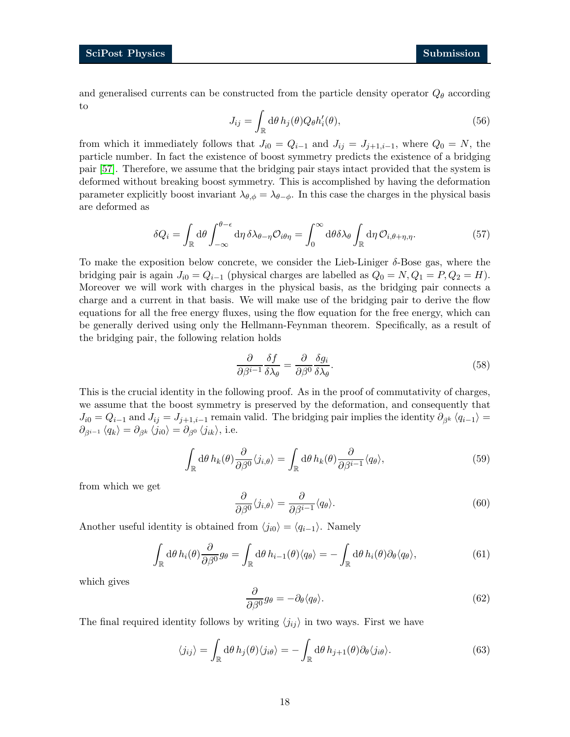and generalised currents can be constructed from the particle density operator  $Q_{\theta}$  according to

$$
J_{ij} = \int_{\mathbb{R}} d\theta \, h_j(\theta) Q_{\theta} h'_i(\theta), \tag{56}
$$

from which it immediately follows that  $J_{i0} = Q_{i-1}$  and  $J_{ij} = J_{j+1,i-1}$ , where  $Q_0 = N$ , the particle number. In fact the existence of boost symmetry predicts the existence of a bridging pair [57]. Therefore, we assume that the bridging pair stays intact provided that the system is deformed without breaking boost symmetry. This is accomplished by having the deformation parameter explicitly boost invariant  $\lambda_{\theta,\phi} = \lambda_{\theta-\phi}$ . In this case the charges in the physical basis are deformed as

$$
\delta Q_i = \int_{\mathbb{R}} d\theta \int_{-\infty}^{\theta - \epsilon} d\eta \, \delta \lambda_{\theta - \eta} \mathcal{O}_{i\theta\eta} = \int_0^{\infty} d\theta \delta \lambda_{\theta} \int_{\mathbb{R}} d\eta \, \mathcal{O}_{i,\theta + \eta,\eta}.
$$
 (57)

To make the exposition below concrete, we consider the Lieb-Liniger δ-Bose gas, where the bridging pair is again  $J_{i0} = Q_{i-1}$  (physical charges are labelled as  $Q_0 = N, Q_1 = P, Q_2 = H$ ). Moreover we will work with charges in the physical basis, as the bridging pair connects a charge and a current in that basis. We will make use of the bridging pair to derive the flow equations for all the free energy fluxes, using the flow equation for the free energy, which can be generally derived using only the Hellmann-Feynman theorem. Specifically, as a result of the bridging pair, the following relation holds

$$
\frac{\partial}{\partial \beta^{i-1}} \frac{\delta f}{\delta \lambda_{\theta}} = \frac{\partial}{\partial \beta^{0}} \frac{\delta g_{i}}{\delta \lambda_{\theta}}.
$$
\n(58)

This is the crucial identity in the following proof. As in the proof of commutativity of charges, we assume that the boost symmetry is preserved by the deformation, and consequently that  $J_{i0} = Q_{i-1}$  and  $J_{ij} = J_{j+1,i-1}$  remain valid. The bridging pair implies the identity  $\partial_{\beta^k} \langle q_{i-1} \rangle =$  $\partial_{\beta}$ <sub>i-1</sub>  $\langle q_k \rangle = \partial_{\beta^k} \langle j_{i0} \rangle = \partial_{\beta^0} \langle j_{ik} \rangle$ , i.e.

<span id="page-17-0"></span>
$$
\int_{\mathbb{R}} d\theta \, h_k(\theta) \frac{\partial}{\partial \beta^0} \langle j_{i,\theta} \rangle = \int_{\mathbb{R}} d\theta \, h_k(\theta) \frac{\partial}{\partial \beta^{i-1}} \langle q_{\theta} \rangle,\tag{59}
$$

from which we get

$$
\frac{\partial}{\partial \beta^0} \langle j_{i,\theta} \rangle = \frac{\partial}{\partial \beta^{i-1}} \langle q_{\theta} \rangle.
$$
 (60)

Another useful identity is obtained from  $\langle j_{i0} \rangle = \langle q_{i-1} \rangle$ . Namely

$$
\int_{\mathbb{R}} d\theta \, h_i(\theta) \frac{\partial}{\partial \beta^0} g_\theta = \int_{\mathbb{R}} d\theta \, h_{i-1}(\theta) \langle q_\theta \rangle = - \int_{\mathbb{R}} d\theta \, h_i(\theta) \partial_\theta \langle q_\theta \rangle,\tag{61}
$$

which gives

$$
\frac{\partial}{\partial \beta^0} g_\theta = -\partial_\theta \langle q_\theta \rangle. \tag{62}
$$

The final required identity follows by writing  $\langle j_{ij} \rangle$  in two ways. First we have

$$
\langle j_{ij} \rangle = \int_{\mathbb{R}} d\theta \, h_j(\theta) \langle j_{i\theta} \rangle = - \int_{\mathbb{R}} d\theta \, h_{j+1}(\theta) \partial_{\theta} \langle j_{i\theta} \rangle. \tag{63}
$$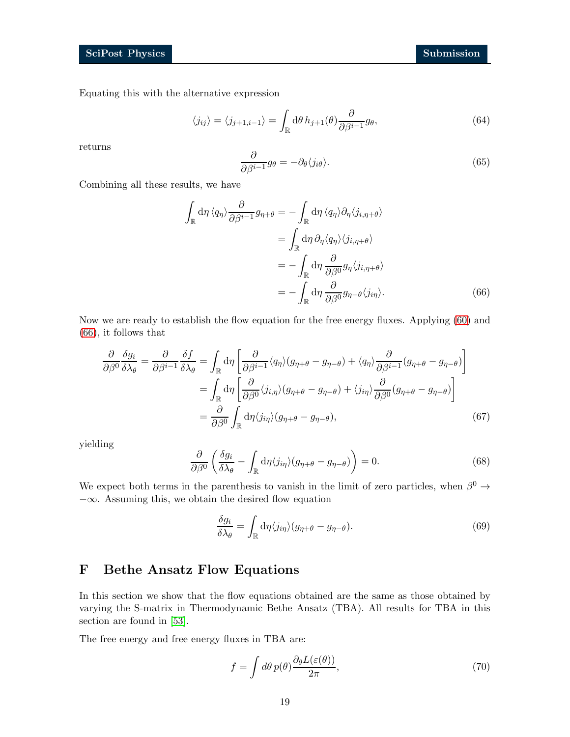Equating this with the alternative expression

$$
\langle j_{ij} \rangle = \langle j_{j+1,i-1} \rangle = \int_{\mathbb{R}} d\theta \, h_{j+1}(\theta) \frac{\partial}{\partial \beta^{i-1}} g_{\theta}, \tag{64}
$$

returns

<span id="page-18-1"></span>
$$
\frac{\partial}{\partial \beta^{i-1}} g_{\theta} = -\partial_{\theta} \langle j_{i\theta} \rangle. \tag{65}
$$

Combining all these results, we have

$$
\int_{\mathbb{R}} d\eta \langle q_{\eta} \rangle \frac{\partial}{\partial \beta^{i-1}} g_{\eta+\theta} = -\int_{\mathbb{R}} d\eta \langle q_{\eta} \rangle \partial_{\eta} \langle j_{i,\eta+\theta} \rangle
$$

$$
= \int_{\mathbb{R}} d\eta \partial_{\eta} \langle q_{\eta} \rangle \langle j_{i,\eta+\theta} \rangle
$$

$$
= -\int_{\mathbb{R}} d\eta \frac{\partial}{\partial \beta^{0}} g_{\eta} \langle j_{i,\eta+\theta} \rangle
$$

$$
= -\int_{\mathbb{R}} d\eta \frac{\partial}{\partial \beta^{0}} g_{\eta-\theta} \langle j_{i\eta} \rangle.
$$
(66)

Now we are ready to establish the flow equation for the free energy fluxes. Applying [\(60\)](#page-17-0) and [\(66\)](#page-18-1), it follows that

$$
\frac{\partial}{\partial \beta^{0}} \frac{\delta g_{i}}{\delta \lambda_{\theta}} = \frac{\partial}{\partial \beta^{i-1}} \frac{\delta f}{\delta \lambda_{\theta}} = \int_{\mathbb{R}} d\eta \left[ \frac{\partial}{\partial \beta^{i-1}} \langle q_{\eta} \rangle (g_{\eta+\theta} - g_{\eta-\theta}) + \langle q_{\eta} \rangle \frac{\partial}{\partial \beta^{i-1}} (g_{\eta+\theta} - g_{\eta-\theta}) \right]
$$

$$
= \int_{\mathbb{R}} d\eta \left[ \frac{\partial}{\partial \beta^{0}} \langle j_{i,\eta} \rangle (g_{\eta+\theta} - g_{\eta-\theta}) + \langle j_{i\eta} \rangle \frac{\partial}{\partial \beta^{0}} (g_{\eta+\theta} - g_{\eta-\theta}) \right]
$$

$$
= \frac{\partial}{\partial \beta^{0}} \int_{\mathbb{R}} d\eta \langle j_{i\eta} \rangle (g_{\eta+\theta} - g_{\eta-\theta}), \tag{67}
$$

yielding

$$
\frac{\partial}{\partial \beta^0} \left( \frac{\delta g_i}{\delta \lambda_\theta} - \int_{\mathbb{R}} d\eta \langle j_{i\eta} \rangle (g_{\eta+\theta} - g_{\eta-\theta}) \right) = 0. \tag{68}
$$

We expect both terms in the parenthesis to vanish in the limit of zero particles, when  $\beta^0 \rightarrow$ −∞. Assuming this, we obtain the desired flow equation

$$
\frac{\delta g_i}{\delta \lambda_\theta} = \int_{\mathbb{R}} d\eta \langle j_{i\eta} \rangle (g_{\eta+\theta} - g_{\eta-\theta}). \tag{69}
$$

# <span id="page-18-0"></span>F Bethe Ansatz Flow Equations

In this section we show that the flow equations obtained are the same as those obtained by varying the S-matrix in Thermodynamic Bethe Ansatz (TBA). All results for TBA in this section are found in [\[53\]](#page-23-4).

The free energy and free energy fluxes in TBA are:

$$
f = \int d\theta \, p(\theta) \frac{\partial_{\theta} L(\varepsilon(\theta))}{2\pi},\tag{70}
$$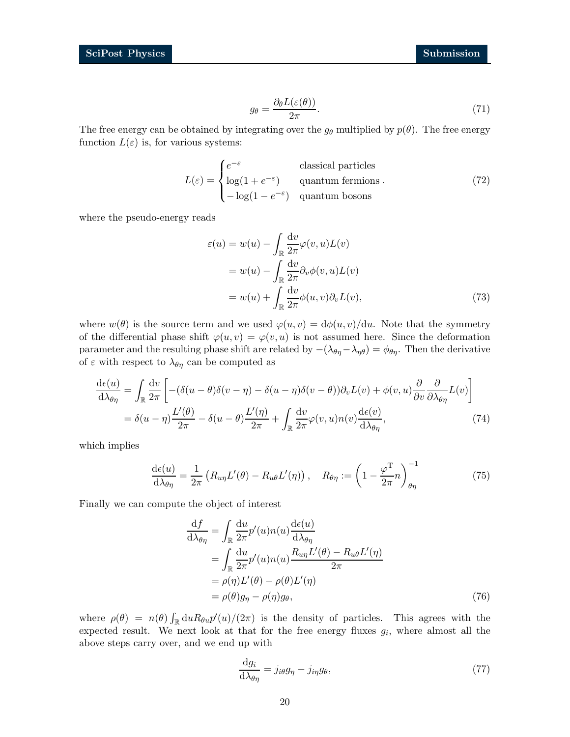$$
g_{\theta} = \frac{\partial_{\theta} L(\varepsilon(\theta))}{2\pi}.
$$
\n(71)

The free energy can be obtained by integrating over the  $g_{\theta}$  multiplied by  $p(\theta)$ . The free energy function  $L(\varepsilon)$  is, for various systems:

$$
L(\varepsilon) = \begin{cases} e^{-\varepsilon} & \text{classical particles} \\ \log(1 + e^{-\varepsilon}) & \text{quantum fermions} \\ -\log(1 - e^{-\varepsilon}) & \text{quantum bosons} \end{cases}
$$
(72)

where the pseudo-energy reads

$$
\varepsilon(u) = w(u) - \int_{\mathbb{R}} \frac{dv}{2\pi} \varphi(v, u) L(v)
$$
  
=  $w(u) - \int_{\mathbb{R}} \frac{dv}{2\pi} \partial_v \phi(v, u) L(v)$   
=  $w(u) + \int_{\mathbb{R}} \frac{dv}{2\pi} \phi(u, v) \partial_v L(v),$  (73)

where  $w(\theta)$  is the source term and we used  $\varphi(u, v) = d\phi(u, v)/du$ . Note that the symmetry of the differential phase shift  $\varphi(u, v) = \varphi(v, u)$  is not assumed here. Since the deformation parameter and the resulting phase shift are related by  $-(\lambda_{\theta\eta}-\lambda_{\eta\theta}) = \phi_{\theta\eta}$ . Then the derivative of  $\varepsilon$  with respect to  $\lambda_{\theta\eta}$  can be computed as

$$
\frac{\mathrm{d}\epsilon(u)}{\mathrm{d}\lambda_{\theta\eta}} = \int_{\mathbb{R}} \frac{\mathrm{d}v}{2\pi} \left[ -(\delta(u-\theta)\delta(v-\eta) - \delta(u-\eta)\delta(v-\theta))\partial_v L(v) + \phi(v,u) \frac{\partial}{\partial v} \frac{\partial}{\partial \lambda_{\theta\eta}} L(v) \right]
$$

$$
= \delta(u-\eta) \frac{L'(\theta)}{2\pi} - \delta(u-\theta) \frac{L'(\eta)}{2\pi} + \int_{\mathbb{R}} \frac{\mathrm{d}v}{2\pi} \varphi(v,u)n(v) \frac{\mathrm{d}\epsilon(v)}{\mathrm{d}\lambda_{\theta\eta}},\tag{74}
$$

which implies

$$
\frac{\mathrm{d}\epsilon(u)}{\mathrm{d}\lambda_{\theta\eta}} = \frac{1}{2\pi} \left( R_{u\eta} L'(\theta) - R_{u\theta} L'(\eta) \right), \quad R_{\theta\eta} := \left( 1 - \frac{\varphi^{\mathrm{T}}}{2\pi} n \right)_{\theta\eta}^{-1} \tag{75}
$$

Finally we can compute the object of interest

$$
\frac{\mathrm{d}f}{\mathrm{d}\lambda_{\theta\eta}} = \int_{\mathbb{R}} \frac{\mathrm{d}u}{2\pi} p'(u) n(u) \frac{\mathrm{d}\epsilon(u)}{\mathrm{d}\lambda_{\theta\eta}} \n= \int_{\mathbb{R}} \frac{\mathrm{d}u}{2\pi} p'(u) n(u) \frac{R_{u\eta} L'(\theta) - R_{u\theta} L'(\eta)}{2\pi} \n= \rho(\eta) L'(\theta) - \rho(\theta) L'(\eta) \n= \rho(\theta) g_{\eta} - \rho(\eta) g_{\theta},
$$
\n(76)

where  $\rho(\theta) = n(\theta) \int_{\mathbb{R}} du R_{\theta u} p'(u)/(2\pi)$  is the density of particles. This agrees with the expected result. We next look at that for the free energy fluxes  $g_i$ , where almost all the above steps carry over, and we end up with

$$
\frac{\mathrm{d}g_i}{\mathrm{d}\lambda_{\theta\eta}} = j_{i\theta}g_\eta - j_{i\eta}g_\theta,\tag{77}
$$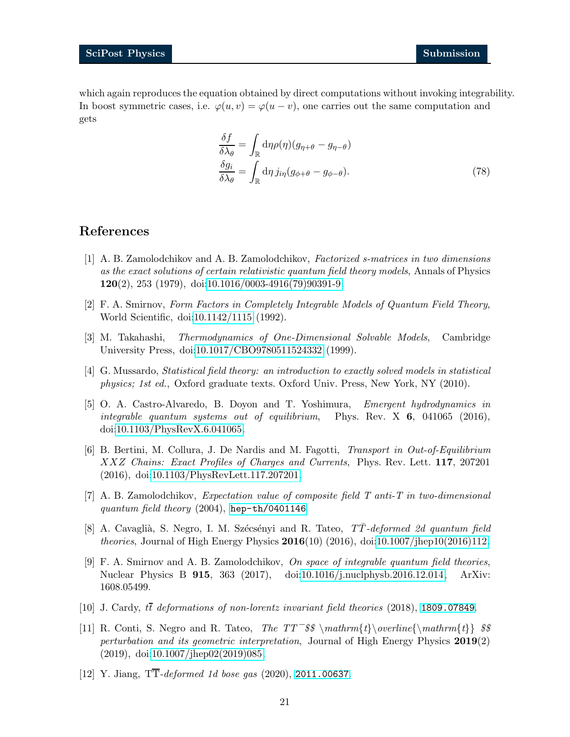which again reproduces the equation obtained by direct computations without invoking integrability. In boost symmetric cases, i.e.  $\varphi(u, v) = \varphi(u - v)$ , one carries out the same computation and gets

<span id="page-20-0"></span>
$$
\frac{\delta f}{\delta \lambda_{\theta}} = \int_{\mathbb{R}} d\eta \rho(\eta) (g_{\eta+\theta} - g_{\eta-\theta})
$$
  

$$
\frac{\delta g_i}{\delta \lambda_{\theta}} = \int_{\mathbb{R}} d\eta \, j_{i\eta} (g_{\phi+\theta} - g_{\phi-\theta}).
$$
 (78)

# <span id="page-20-1"></span>References

- [1] A. B. Zamolodchikov and A. B. Zamolodchikov, Factorized s-matrices in two dimensions as the exact solutions of certain relativistic quantum field theory models, Annals of Physics 120(2), 253 (1979), doi[:10.1016/0003-4916\(79\)90391-9.](https://doi.org/10.1016/0003-4916(79)90391-9)
- [2] F. A. Smirnov, Form Factors in Completely Integrable Models of Quantum Field Theory, World Scientific, doi[:10.1142/1115](https://doi.org/10.1142/1115) (1992).
- <span id="page-20-3"></span><span id="page-20-2"></span>[3] M. Takahashi, Thermodynamics of One-Dimensional Solvable Models, Cambridge University Press, doi[:10.1017/CBO9780511524332](https://doi.org/10.1017/CBO9780511524332) (1999).
- <span id="page-20-4"></span>[4] G. Mussardo, Statistical field theory: an introduction to exactly solved models in statistical physics; 1st ed., Oxford graduate texts. Oxford Univ. Press, New York, NY (2010).
- [5] O. A. Castro-Alvaredo, B. Doyon and T. Yoshimura, Emergent hydrodynamics in integrable quantum systems out of equilibrium, Phys. Rev.  $X$  6, 041065 (2016), doi[:10.1103/PhysRevX.6.041065.](https://doi.org/10.1103/PhysRevX.6.041065)
- <span id="page-20-5"></span>[6] B. Bertini, M. Collura, J. De Nardis and M. Fagotti, Transport in Out-of-Equilibrium XXZ Chains: Exact Profiles of Charges and Currents, Phys. Rev. Lett. 117, 207201 (2016), doi[:10.1103/PhysRevLett.117.207201.](https://doi.org/10.1103/PhysRevLett.117.207201)
- <span id="page-20-6"></span>[7] A. B. Zamolodchikov, Expectation value of composite field T anti-T in two-dimensional quantum field theory  $(2004)$ , <hep-th/0401146>.
- <span id="page-20-9"></span>[8] A. Cavaglià, S. Negro, I. M. Szécsényi and R. Tateo,  $T\overline{T}$ -deformed 2d quantum field *theories*, Journal of High Energy Physics  $2016(10)$  (2016), doi[:10.1007/jhep10\(2016\)112.](https://doi.org/10.1007/jhep10(2016)112)
- <span id="page-20-7"></span>[9] F. A. Smirnov and A. B. Zamolodchikov, On space of integrable quantum field theories, Nuclear Physics B 915, 363 (2017), doi[:10.1016/j.nuclphysb.2016.12.014,](https://doi.org/10.1016/j.nuclphysb.2016.12.014) ArXiv: 1608.05499.
- <span id="page-20-8"></span>[10] J. Cardy,  $t\bar{t}$  deformations of non-lorentz invariant field theories (2018), <1809.07849>.
- [11] R. Conti, S. Negro and R. Tateo, The  $TT\$ \$\mathrm{t}\overline{\mathrm{t}} \$\$ perturbation and its geometric interpretation, Journal of High Energy Physics 2019(2) (2019), doi[:10.1007/jhep02\(2019\)085.](https://doi.org/10.1007/jhep02(2019)085)
- <span id="page-20-10"></span>[12] Y. Jiang,  $T\overline{T}$ -deformed 1d bose gas (2020), <2011.00637>.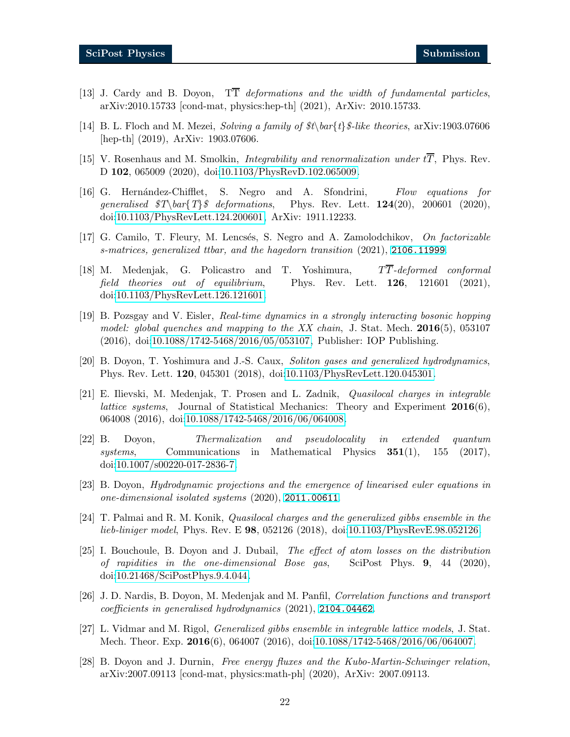- <span id="page-21-1"></span><span id="page-21-0"></span>[13] J. Cardy and B. Doyon, TT deformations and the width of fundamental particles, arXiv:2010.15733 [cond-mat, physics:hep-th] (2021), ArXiv: 2010.15733.
- [14] B. L. Floch and M. Mezei, *Solving a family of*  $\mathcal{E}\mathcal{E}\$ -like theories, arXiv:1903.07606 [hep-th] (2019), ArXiv: 1903.07606.
- <span id="page-21-12"></span>[15] V. Rosenhaus and M. Smolkin, Integrability and renormalization under tT, Phys. Rev. D 102, 065009 (2020), doi[:10.1103/PhysRevD.102.065009.](https://doi.org/10.1103/PhysRevD.102.065009)
- [16] G. Hernández-Chifflet, S. Negro and A. Sfondrini, Flow equations for generalised  $T\bar{Y}\$  deformations, Phys. Rev. Lett. 124(20), 200601 (2020), doi[:10.1103/PhysRevLett.124.200601,](https://doi.org/10.1103/PhysRevLett.124.200601) ArXiv: 1911.12233.
- <span id="page-21-3"></span><span id="page-21-2"></span>[17] G. Camilo, T. Fleury, M. Lencsés, S. Negro and A. Zamolodchikov, On factorizable s-matrices, generalized ttbar, and the hagedorn transition (2021), <2106.11999>.
- [18] M. Medenjak, G. Policastro and T. Yoshimura,  $T\overline{T}$ -deformed conformal field theories out of equilibrium, Phys. Rev. Lett.  $126$ ,  $121601$  (2021), doi[:10.1103/PhysRevLett.126.121601.](https://doi.org/10.1103/PhysRevLett.126.121601)
- <span id="page-21-4"></span>[19] B. Pozsgay and V. Eisler, Real-time dynamics in a strongly interacting bosonic hopping model: global quenches and mapping to the XX chain, J. Stat. Mech.  $2016(5)$ , 053107 (2016), doi[:10.1088/1742-5468/2016/05/053107,](https://doi.org/10.1088/1742-5468/2016/05/053107) Publisher: IOP Publishing.
- <span id="page-21-5"></span>[20] B. Doyon, T. Yoshimura and J.-S. Caux, Soliton gases and generalized hydrodynamics, Phys. Rev. Lett. 120, 045301 (2018), doi[:10.1103/PhysRevLett.120.045301.](https://doi.org/10.1103/PhysRevLett.120.045301)
- <span id="page-21-6"></span>[21] E. Ilievski, M. Medenjak, T. Prosen and L. Zadnik, Quasilocal charges in integrable *lattice systems*, Journal of Statistical Mechanics: Theory and Experiment  $2016(6)$ , 064008 (2016), doi[:10.1088/1742-5468/2016/06/064008.](https://doi.org/10.1088/1742-5468/2016/06/064008)
- [22] B. Doyon, Thermalization and pseudolocality in extended quantum systems, Communications in Mathematical Physics 351(1), 155 (2017), doi[:10.1007/s00220-017-2836-7.](https://doi.org/10.1007/s00220-017-2836-7)
- <span id="page-21-7"></span>[23] B. Doyon, Hydrodynamic projections and the emergence of linearised euler equations in one-dimensional isolated systems (2020), <2011.00611>.
- <span id="page-21-8"></span>[24] T. Palmai and R. M. Konik, Quasilocal charges and the generalized gibbs ensemble in the lieb-liniger model, Phys. Rev. E 98, 052126 (2018), doi[:10.1103/PhysRevE.98.052126.](https://doi.org/10.1103/PhysRevE.98.052126)
- [25] I. Bouchoule, B. Doyon and J. Dubail, The effect of atom losses on the distribution of rapidities in the one-dimensional Bose gas, SciPost Phys.  $9, 44$  (2020), doi[:10.21468/SciPostPhys.9.4.044.](https://doi.org/10.21468/SciPostPhys.9.4.044)
- <span id="page-21-9"></span>[26] J. D. Nardis, B. Doyon, M. Medenjak and M. Panfil, Correlation functions and transport coefficients in generalised hydrodynamics (2021), <2104.04462>.
- <span id="page-21-10"></span>[27] L. Vidmar and M. Rigol, Generalized gibbs ensemble in integrable lattice models, J. Stat. Mech. Theor. Exp. 2016(6), 064007 (2016), doi[:10.1088/1742-5468/2016/06/064007.](https://doi.org/10.1088/1742-5468/2016/06/064007)
- <span id="page-21-11"></span>[28] B. Doyon and J. Durnin, Free energy fluxes and the Kubo-Martin-Schwinger relation, arXiv:2007.09113 [cond-mat, physics:math-ph] (2020), ArXiv: 2007.09113.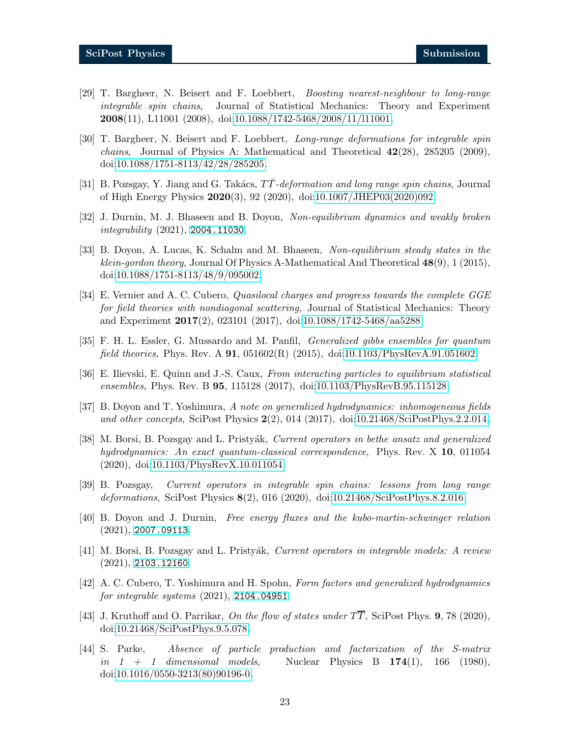- <span id="page-22-0"></span>[29] T. Bargheer, N. Beisert and F. Loebbert, Boosting nearest-neighbour to long-range integrable spin chains, Journal of Statistical Mechanics: Theory and Experiment 2008(11), L11001 (2008), doi[:10.1088/1742-5468/2008/11/l11001.](https://doi.org/10.1088/1742-5468/2008/11/l11001)
- [30] T. Bargheer, N. Beisert and F. Loebbert, Long-range deformations for integrable spin *chains*, Journal of Physics A: Mathematical and Theoretical  $42(28)$ ,  $285205$   $(2009)$ , doi[:10.1088/1751-8113/42/28/285205.](https://doi.org/10.1088/1751-8113/42/28/285205)
- <span id="page-22-2"></span><span id="page-22-1"></span>[31] B. Pozsgay, Y. Jiang and G. Takács, TT-deformation and long range spin chains, Journal of High Energy Physics 2020(3), 92 (2020), doi[:10.1007/JHEP03\(2020\)092.](https://doi.org/10.1007/JHEP03(2020)092)
- <span id="page-22-3"></span>[32] J. Durnin, M. J. Bhaseen and B. Doyon, Non-equilibrium dynamics and weakly broken integrability (2021), <2004.11030>.
- [33] B. Doyon, A. Lucas, K. Schalm and M. Bhaseen, Non-equilibrium steady states in the klein-gordon theory, Journal Of Physics A-Mathematical And Theoretical  $48(9)$ , 1 (2015), doi[:10.1088/1751-8113/48/9/095002.](https://doi.org/10.1088/1751-8113/48/9/095002)
- <span id="page-22-4"></span>[34] E. Vernier and A. C. Cubero, Quasilocal charges and progress towards the complete GGE for field theories with nondiagonal scattering, Journal of Statistical Mechanics: Theory and Experiment 2017(2), 023101 (2017), doi[:10.1088/1742-5468/aa5288.](https://doi.org/10.1088/1742-5468/aa5288)
- <span id="page-22-5"></span>[35] F. H. L. Essler, G. Mussardo and M. Panfil, Generalized gibbs ensembles for quantum field theories, Phys. Rev. A  $91, 051602(R)$  (2015), doi[:10.1103/PhysRevA.91.051602.](https://doi.org/10.1103/PhysRevA.91.051602)
- <span id="page-22-7"></span><span id="page-22-6"></span>[36] E. Ilievski, E. Quinn and J.-S. Caux, From interacting particles to equilibrium statistical ensembles, Phys. Rev. B 95, 115128 (2017), doi[:10.1103/PhysRevB.95.115128.](https://doi.org/10.1103/PhysRevB.95.115128)
- [37] B. Doyon and T. Yoshimura, A note on generalized hydrodynamics: inhomogeneous fields and other concepts, SciPost Physics  $2(2)$ , 014 (2017), doi[:10.21468/SciPostPhys.2.2.014.](https://doi.org/10.21468/SciPostPhys.2.2.014)
- <span id="page-22-10"></span>[38] M. Borsi, B. Pozsgay and L. Pristyák, Current operators in bethe ansatz and generalized hydrodynamics: An exact quantum-classical correspondence, Phys. Rev. X 10, 011054 (2020), doi[:10.1103/PhysRevX.10.011054.](https://doi.org/10.1103/PhysRevX.10.011054)
- <span id="page-22-11"></span>[39] B. Pozsgay, Current operators in integrable spin chains: lessons from long range deformations, SciPost Physics 8(2), 016 (2020), doi[:10.21468/SciPostPhys.8.2.016.](https://doi.org/10.21468/SciPostPhys.8.2.016)
- [40] B. Doyon and J. Durnin, Free energy fluxes and the kubo-martin-schwinger relation  $(2021), 2007.09113.$  $(2021), 2007.09113.$  $(2021), 2007.09113.$
- <span id="page-22-12"></span>[41] M. Borsi, B. Pozsgay and L. Pristyák, Current operators in integrable models: A review (2021), <2103.12160>.
- <span id="page-22-8"></span>[42] A. C. Cubero, T. Yoshimura and H. Spohn, Form factors and generalized hydrodynamics for integrable systems (2021), <2104.04951>.
- [43] J. Kruthoff and O. Parrikar, On the flow of states under  $T\overline{T}$ , SciPost Phys. 9, 78 (2020), doi[:10.21468/SciPostPhys.9.5.078.](https://doi.org/10.21468/SciPostPhys.9.5.078)
- <span id="page-22-9"></span>[44] S. Parke, Absence of particle production and factorization of the S-matrix in  $1 + 1$  dimensional models, Nuclear Physics B 174(1), 166 (1980), doi[:10.1016/0550-3213\(80\)90196-0.](https://doi.org/10.1016/0550-3213(80)90196-0)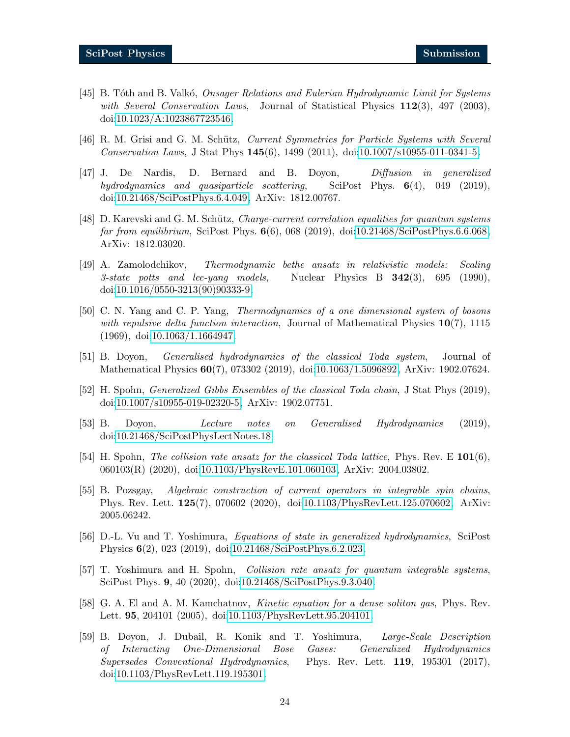- <span id="page-23-0"></span>[45] B. Tóth and B. Valkó, *Onsager Relations and Eulerian Hydrodynamic Limit for Systems* with Several Conservation Laws, Journal of Statistical Physics  $112(3)$ , 497 (2003), doi[:10.1023/A:1023867723546.](https://doi.org/10.1023/A:1023867723546)
- [46] R. M. Grisi and G. M. Schütz, *Current Symmetries for Particle Systems with Several* Conservation Laws, J Stat Phys 145(6), 1499 (2011), doi[:10.1007/s10955-011-0341-5.](https://doi.org/10.1007/s10955-011-0341-5)
- [47] J. De Nardis, D. Bernard and B. Doyon, Diffusion in generalized hydrodynamics and quasiparticle scattering, SciPost Phys.  $6(4)$ , 049 (2019), doi[:10.21468/SciPostPhys.6.4.049,](https://doi.org/10.21468/SciPostPhys.6.4.049) ArXiv: 1812.00767.
- <span id="page-23-1"></span>[48] D. Karevski and G. M. Schütz, Charge-current correlation equalities for quantum systems far from equilibrium, SciPost Phys.  $6(6)$ , 068 (2019), doi[:10.21468/SciPostPhys.6.6.068,](https://doi.org/10.21468/SciPostPhys.6.6.068) ArXiv: 1812.03020.
- <span id="page-23-2"></span>[49] A. Zamolodchikov, Thermodynamic bethe ansatz in relativistic models: Scaling 3-state potts and lee-yang models, Nuclear Physics B  $342(3)$ , 695 (1990), doi[:10.1016/0550-3213\(90\)90333-9.](https://doi.org/10.1016/0550-3213(90)90333-9)
- [50] C. N. Yang and C. P. Yang, Thermodynamics of a one dimensional system of bosons with repulsive delta function interaction, Journal of Mathematical Physics  $10(7)$ , 1115 (1969), doi[:10.1063/1.1664947.](https://doi.org/10.1063/1.1664947)
- <span id="page-23-3"></span>[51] B. Doyon, Generalised hydrodynamics of the classical Toda system, Journal of Mathematical Physics 60(7), 073302 (2019), doi[:10.1063/1.5096892,](https://doi.org/10.1063/1.5096892) ArXiv: 1902.07624.
- <span id="page-23-4"></span>[52] H. Spohn, Generalized Gibbs Ensembles of the classical Toda chain, J Stat Phys (2019), doi[:10.1007/s10955-019-02320-5,](https://doi.org/10.1007/s10955-019-02320-5) ArXiv: 1902.07751.
- <span id="page-23-5"></span>[53] B. Doyon, Lecture notes on Generalised Hydrodynamics (2019), doi[:10.21468/SciPostPhysLectNotes.18.](https://doi.org/10.21468/SciPostPhysLectNotes.18)
- [54] H. Spohn, *The collision rate ansatz for the classical Toda lattice*, Phys. Rev. E 101(6), 060103(R) (2020), doi[:10.1103/PhysRevE.101.060103,](https://doi.org/10.1103/PhysRevE.101.060103) ArXiv: 2004.03802.
- [55] B. Pozsgay, Algebraic construction of current operators in integrable spin chains, Phys. Rev. Lett. 125(7), 070602 (2020), doi[:10.1103/PhysRevLett.125.070602,](https://doi.org/10.1103/PhysRevLett.125.070602) ArXiv: 2005.06242.
- [56] D.-L. Vu and T. Yoshimura, Equations of state in generalized hydrodynamics, SciPost Physics 6(2), 023 (2019), doi[:10.21468/SciPostPhys.6.2.023.](https://doi.org/10.21468/SciPostPhys.6.2.023)
- [57] T. Yoshimura and H. Spohn, Collision rate ansatz for quantum integrable systems, SciPost Phys. 9, 40 (2020), doi[:10.21468/SciPostPhys.9.3.040.](https://doi.org/10.21468/SciPostPhys.9.3.040)
- <span id="page-23-6"></span>[58] G. A. El and A. M. Kamchatnov, Kinetic equation for a dense soliton gas, Phys. Rev. Lett. 95, 204101 (2005), doi[:10.1103/PhysRevLett.95.204101.](https://doi.org/10.1103/PhysRevLett.95.204101)
- <span id="page-23-7"></span>[59] B. Doyon, J. Dubail, R. Konik and T. Yoshimura, Large-Scale Description of Interacting One-Dimensional Bose Gases: Generalized Hydrodynamics Supersedes Conventional Hydrodynamics, Phys. Rev. Lett. 119, 195301 (2017), doi[:10.1103/PhysRevLett.119.195301.](https://doi.org/10.1103/PhysRevLett.119.195301)